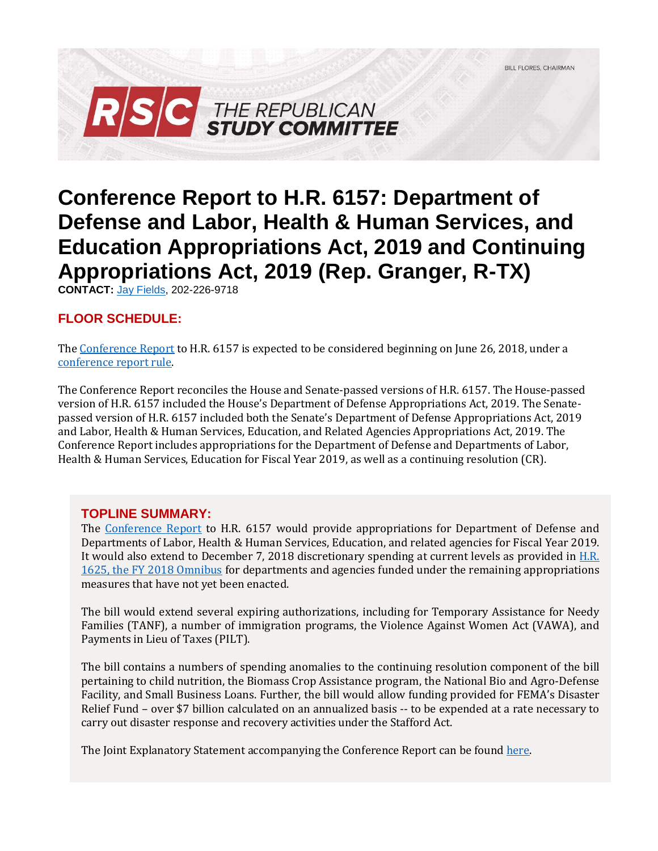

# **Conference Report to H.R. 6157: Department of Defense and Labor, Health & Human Services, and Education Appropriations Act, 2019 and Continuing Appropriations Act, 2019 (Rep. Granger, R-TX)**

**CONTACT:** [Jay Fields,](mailto:jay.fields@mail.house.gov) 202-226-9718

# **FLOOR SCHEDULE:**

Th[e Conference Report](https://docs.house.gov/billsthisweek/20180910/CRPT-115hrpt952.pdf) to H.R. 6157 is expected to be considered beginning on June 26, 2018, under a [conference report rule.](https://rules.house.gov/conference-report/-H.R.%206157)

The Conference Report reconciles the House and Senate-passed versions of H.R. 6157. The House-passed version of H.R. 6157 included the House's Department of Defense Appropriations Act, 2019. The Senatepassed version of H.R. 6157 included both the Senate's Department of Defense Appropriations Act, 2019 and Labor, Health & Human Services, Education, and Related Agencies Appropriations Act, 2019. The Conference Report includes appropriations for the Department of Defense and Departments of Labor, Health & Human Services, Education for Fiscal Year 2019, as well as a continuing resolution (CR).

## **TOPLINE SUMMARY:**

The [Conference Report](https://docs.house.gov/billsthisweek/20180910/CRPT-115hrpt952.pdf) to H.R. 6157 would provide appropriations for Department of Defense and Departments of Labor, Health & Human Services, Education, and related agencies for Fiscal Year 2019. It would also extend to December 7, 2018 discretionary spending at current levels as provided in [H.R.](https://gallery.mailchimp.com/d4254037a343b683d142111e0/files/76c0375e-2eb8-4d0b-bf88-5f0b5d018eae/RSC_Legislative_Bulletin_FY_2018_Omnibus_UPDATED_FINAL.pdf)  [1625, the FY 2018 Omnibus](https://gallery.mailchimp.com/d4254037a343b683d142111e0/files/76c0375e-2eb8-4d0b-bf88-5f0b5d018eae/RSC_Legislative_Bulletin_FY_2018_Omnibus_UPDATED_FINAL.pdf) for departments and agencies funded under the remaining appropriations measures that have not yet been enacted.

The bill would extend several expiring authorizations, including for Temporary Assistance for Needy Families (TANF), a number of immigration programs, the Violence Against Women Act (VAWA), and Payments in Lieu of Taxes (PILT).

The bill contains a numbers of spending anomalies to the continuing resolution component of the bill pertaining to child nutrition, the Biomass Crop Assistance program, the National Bio and Agro-Defense Facility, and Small Business Loans. Further, the bill would allow funding provided for FEMA's Disaster Relief Fund – over \$7 billion calculated on an annualized basis -- to be expended at a rate necessary to carry out disaster response and recovery activities under the Stafford Act.

The Joint Explanatory Statement accompanying the Conference Report can be found [here.](https://docs.house.gov/billsthisweek/20180910/Joint%20%20Statement.pdf)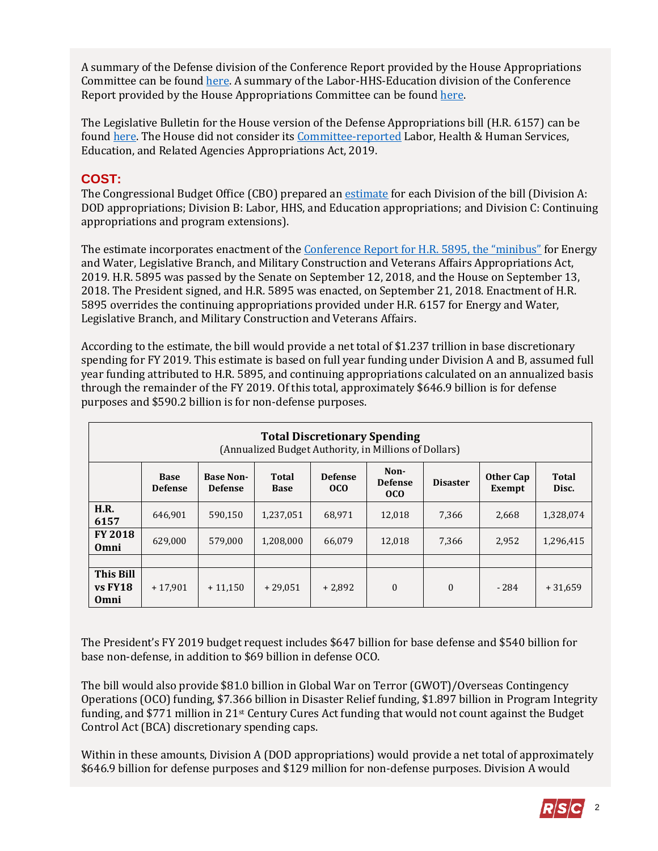A summary of the Defense division of the Conference Report provided by the House Appropriations Committee can be found [here.](https://appropriations.house.gov/uploadedfiles/minibus_2_-_fy_2019_defense_appropriations_bill_-_summary.pdf) A summary of the Labor-HHS-Education division of the Conference Report provided by the House Appropriations Committee can be found [here.](https://appropriations.house.gov/uploadedfiles/minibus_2_-_fy_2019_labor_hhs_appropriations_bill_-_summary.pdf)

The Legislative Bulletin for the House version of the Defense Appropriations bill (H.R. 6157) can be foun[d here.](https://rsc-walker.house.gov/sites/republicanstudycommittee.house.gov/files/wysiwyg_uploaded/LB_DOD_Approps_FY_2019_06252018_FINAL.02.pdf) The House did not consider it[s Committee-reported](https://www.congress.gov/115/bills/hr6470/BILLS-115hr6470rh.pdf) Labor, Health & Human Services, Education, and Related Agencies Appropriations Act, 2019.

# **COST:**

The Congressional Budget Office (CBO) prepared an [estimate](https://www.cbo.gov/system/files?file=2018-09/hr6157.pdf) for each Division of the bill (Division A: DOD appropriations; Division B: Labor, HHS, and Education appropriations; and Division C: Continuing appropriations and program extensions).

The estimate incorporates enactment of the [Conference Report for H.R. 5895, the "minibus"](https://gallery.mailchimp.com/d4254037a343b683d142111e0/files/62ee4526-43bf-4352-8a26-e708427e8d61/LB_Minibus_EW_Leg_MilCon_FY19_Conference_Report_FINAL.pdf) for Energy and Water, Legislative Branch, and Military Construction and Veterans Affairs Appropriations Act, 2019. H.R. 5895 was passed by the Senate on September 12, 2018, and the House on September 13, 2018. The President signed, and H.R. 5895 was enacted, on September 21, 2018. Enactment of H.R. 5895 overrides the continuing appropriations provided under H.R. 6157 for Energy and Water, Legislative Branch, and Military Construction and Veterans Affairs.

According to the estimate, the bill would provide a net total of \$1.237 trillion in base discretionary spending for FY 2019. This estimate is based on full year funding under Division A and B, assumed full year funding attributed to H.R. 5895, and continuing appropriations calculated on an annualized basis through the remainder of the FY 2019. Of this total, approximately \$646.9 billion is for defense purposes and \$590.2 billion is for non-defense purposes.

|                                       | <b>Total Discretionary Spending</b><br>(Annualized Budget Authority, in Millions of Dollars) |                                    |                      |                                   |                                           |                 |                     |                |  |  |
|---------------------------------------|----------------------------------------------------------------------------------------------|------------------------------------|----------------------|-----------------------------------|-------------------------------------------|-----------------|---------------------|----------------|--|--|
|                                       | <b>Base</b><br><b>Defense</b>                                                                | <b>Base Non-</b><br><b>Defense</b> | Total<br><b>Base</b> | <b>Defense</b><br>0 <sub>CO</sub> | Non-<br><b>Defense</b><br>0 <sub>co</sub> | <b>Disaster</b> | Other Cap<br>Exempt | Total<br>Disc. |  |  |
| H.R.<br>6157                          | 646,901                                                                                      | 590,150                            | 1,237,051            | 68.971                            | 12,018                                    | 7,366           | 2,668               | 1,328,074      |  |  |
| <b>FY 2018</b><br>Omni                | 629,000                                                                                      | 579,000                            | 1,208,000            | 66.079                            | 12,018                                    | 7,366           | 2,952               | 1,296,415      |  |  |
|                                       |                                                                                              |                                    |                      |                                   |                                           |                 |                     |                |  |  |
| <b>This Bill</b><br>$vs$ FY18<br>Omni | $+17.901$                                                                                    | $+11.150$                          | $+29.051$            | $+2.892$                          | $\theta$                                  | $\Omega$        | $-284$              | $+31,659$      |  |  |

The President's FY 2019 budget request includes \$647 billion for base defense and \$540 billion for base non-defense, in addition to \$69 billion in defense OCO.

The bill would also provide \$81.0 billion in Global War on Terror (GWOT)/Overseas Contingency Operations (OCO) funding, \$7.366 billion in Disaster Relief funding, \$1.897 billion in Program Integrity funding, and \$771 million in 21st Century Cures Act funding that would not count against the Budget Control Act (BCA) discretionary spending caps.

Within in these amounts, Division A (DOD appropriations) would provide a net total of approximately \$646.9 billion for defense purposes and \$129 million for non-defense purposes. Division A would

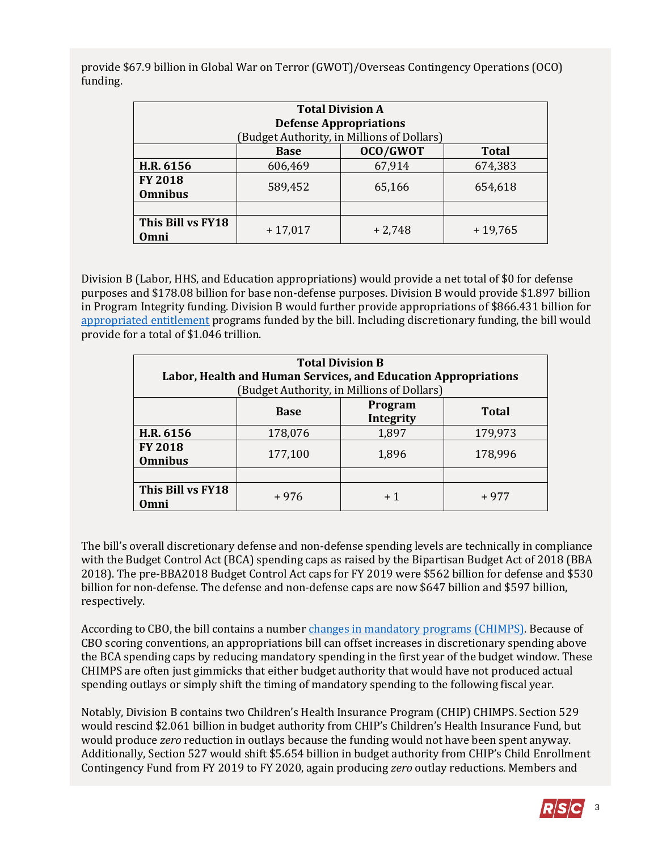provide \$67.9 billion in Global War on Terror (GWOT)/Overseas Contingency Operations (OCO) funding.

| <b>Total Division A</b> |                                           |          |           |  |  |  |  |  |  |
|-------------------------|-------------------------------------------|----------|-----------|--|--|--|--|--|--|
|                         | <b>Defense Appropriations</b>             |          |           |  |  |  |  |  |  |
|                         | Budget Authority, in Millions of Dollars) |          |           |  |  |  |  |  |  |
|                         | OCO/GWOT<br><b>Total</b><br><b>Base</b>   |          |           |  |  |  |  |  |  |
| H.R. 6156               | 606,469                                   | 67,914   | 674,383   |  |  |  |  |  |  |
| <b>FY 2018</b>          | 589,452                                   | 65,166   | 654,618   |  |  |  |  |  |  |
| <b>Omnibus</b>          |                                           |          |           |  |  |  |  |  |  |
|                         |                                           |          |           |  |  |  |  |  |  |
| This Bill vs FY18       | $+17,017$                                 | $+2,748$ | $+19,765$ |  |  |  |  |  |  |
| Omni                    |                                           |          |           |  |  |  |  |  |  |

Division B (Labor, HHS, and Education appropriations) would provide a net total of \$0 for defense purposes and \$178.08 billion for base non-defense purposes. Division B would provide \$1.897 billion in Program Integrity funding. Division B would further provide appropriations of \$866.431 billion for [appropriated entitlement](https://fas.org/sgp/crs/misc/R44582.pdf#page=16) programs funded by the bill. Including discretionary funding, the bill would provide for a total of \$1.046 trillion.

| <b>Total Division B</b><br>Labor, Health and Human Services, and Education Appropriations<br>(Budget Authority, in Millions of Dollars) |             |                      |              |  |  |  |
|-----------------------------------------------------------------------------------------------------------------------------------------|-------------|----------------------|--------------|--|--|--|
|                                                                                                                                         | <b>Base</b> | Program<br>Integrity | <b>Total</b> |  |  |  |
| H.R. 6156                                                                                                                               | 178,076     | 1,897                | 179,973      |  |  |  |
| <b>FY 2018</b><br><b>Omnibus</b>                                                                                                        | 177,100     | 1,896                | 178,996      |  |  |  |
|                                                                                                                                         |             |                      |              |  |  |  |
| This Bill vs FY18<br>Omni                                                                                                               | $+976$      |                      | + 977        |  |  |  |

The bill's overall discretionary defense and non-defense spending levels are technically in compliance with the Budget Control Act (BCA) spending caps as raised by the Bipartisan Budget Act of 2018 (BBA 2018). The pre-BBA2018 Budget Control Act caps for FY 2019 were \$562 billion for defense and \$530 billion for non-defense. The defense and non-defense caps are now \$647 billion and \$597 billion, respectively.

According to CBO, the bill contains a number [changes in mandatory programs \(CHIMPS\).](http://www.crfb.org/blogs/senate-budget-takes-issue-chimps) Because of CBO scoring conventions, an appropriations bill can offset increases in discretionary spending above the BCA spending caps by reducing mandatory spending in the first year of the budget window. These CHIMPS are often just gimmicks that either budget authority that would have not produced actual spending outlays or simply shift the timing of mandatory spending to the following fiscal year.

Notably, Division B contains two Children's Health Insurance Program (CHIP) CHIMPS. Section 529 would rescind \$2.061 billion in budget authority from CHIP's Children's Health Insurance Fund, but would produce *zero* reduction in outlays because the funding would not have been spent anyway. Additionally, Section 527 would shift \$5.654 billion in budget authority from CHIP's Child Enrollment Contingency Fund from FY 2019 to FY 2020, again producing *zero* outlay reductions. Members and

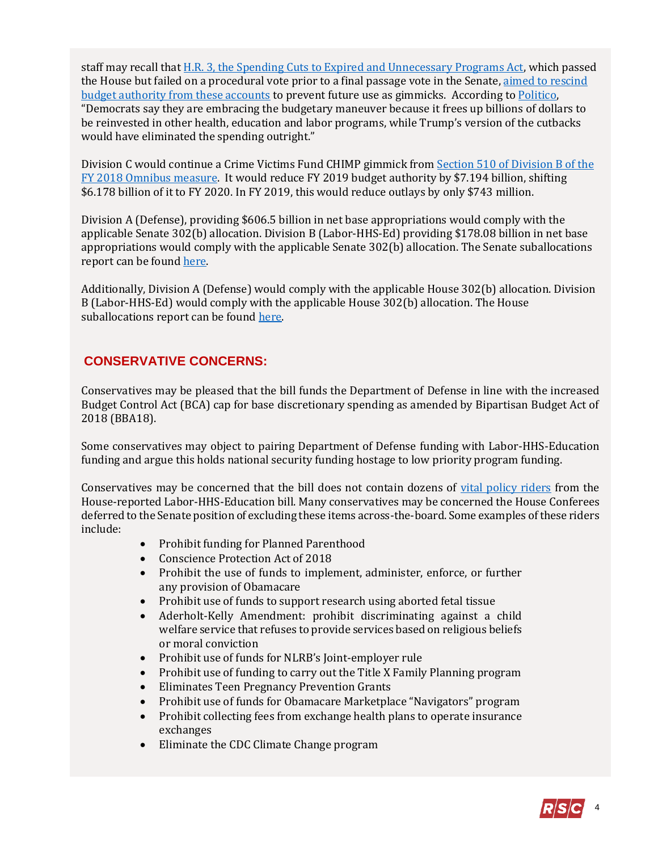staff may recall that H.R. [3, the Spending Cuts to Expired and Unnecessary Programs Act,](https://gallery.mailchimp.com/d4254037a343b683d142111e0/files/376dd896-10c6-4525-a46c-6f17ad57f7b0/LB_H.R_3_rescission_Bill_1_FINAL.pdf) which passed the House but failed on a procedural vote prior to a final passage vote in the Senate, [aimed to rescind](https://gallery.mailchimp.com/d4254037a343b683d142111e0/files/376dd896-10c6-4525-a46c-6f17ad57f7b0/LB_H.R_3_rescission_Bill_1_FINAL.pdf#page=8)  [budget authority from these accounts](https://gallery.mailchimp.com/d4254037a343b683d142111e0/files/376dd896-10c6-4525-a46c-6f17ad57f7b0/LB_H.R_3_rescission_Bill_1_FINAL.pdf#page=8) to prevent future use as gimmicks. According t[o Politico,](https://subscriber.politicopro.com/health-care/article/2018/09/role-reversal-democrats-agree-to-childrens-health-cutbacks-they-once-decried-795674) "Democrats say they are embracing the budgetary maneuver because it frees up billions of dollars to be reinvested in other health, education and labor programs, while Trump's version of the cutbacks would have eliminated the spending outright."

Division C would continue a Crime Victims Fund CHIMP gimmick from Section 510 [of Division B of the](https://www.congress.gov/115/bills/hr1625/BILLS-115hr1625enr.pdf#page=90)  [FY 2018 Omnibus measure.](https://www.congress.gov/115/bills/hr1625/BILLS-115hr1625enr.pdf#page=90) It would reduce FY 2019 budget authority by \$7.194 billion, shifting \$6.178 billion of it to FY 2020. In FY 2019, this would reduce outlays by only \$743 million.

Division A (Defense), providing \$606.5 billion in net base appropriations would comply with the applicable Senate 302(b) allocation. Division B (Labor-HHS-Ed) providing \$178.08 billion in net base appropriations would comply with the applicable Senate 302(b) allocation. The Senate suballocations report can be foun[d here.](https://www.congress.gov/115/crpt/srpt337/CRPT-115srpt337.pdf)

Additionally, Division A (Defense) would comply with the applicable House 302(b) allocation. Division B (Labor-HHS-Ed) would comply with the applicable House 302(b) allocation. The House suballocations report can be found [here.](https://www.congress.gov/115/crpt/hrpt897/CRPT-115hrpt897.pdf)

# **CONSERVATIVE CONCERNS:**

Conservatives may be pleased that the bill funds the Department of Defense in line with the increased Budget Control Act (BCA) cap for base discretionary spending as amended by Bipartisan Budget Act of 2018 (BBA18).

Some conservatives may object to pairing Department of Defense funding with Labor-HHS-Education funding and argue this holds national security funding hostage to low priority program funding.

Conservatives may be concerned that the bill does not contain dozens of [vital policy riders](#page-15-0) from the House-reported Labor-HHS-Education bill. Many conservatives may be concerned the House Conferees deferred to the Senate position of excluding these items across-the-board. Some examples of these riders include:

- Prohibit funding for Planned Parenthood
- Conscience Protection Act of 2018
- Prohibit the use of funds to implement, administer, enforce, or further any provision of Obamacare
- Prohibit use of funds to support research using aborted fetal tissue
- Aderholt-Kelly Amendment: prohibit discriminating against a child welfare service that refuses to provide services based on religious beliefs or moral conviction
- Prohibit use of funds for NLRB's Joint-employer rule
- Prohibit use of funding to carry out the Title X Family Planning program
- Eliminates Teen Pregnancy Prevention Grants
- Prohibit use of funds for Obamacare Marketplace "Navigators" program
- Prohibit collecting fees from exchange health plans to operate insurance exchanges
- Eliminate the CDC Climate Change program

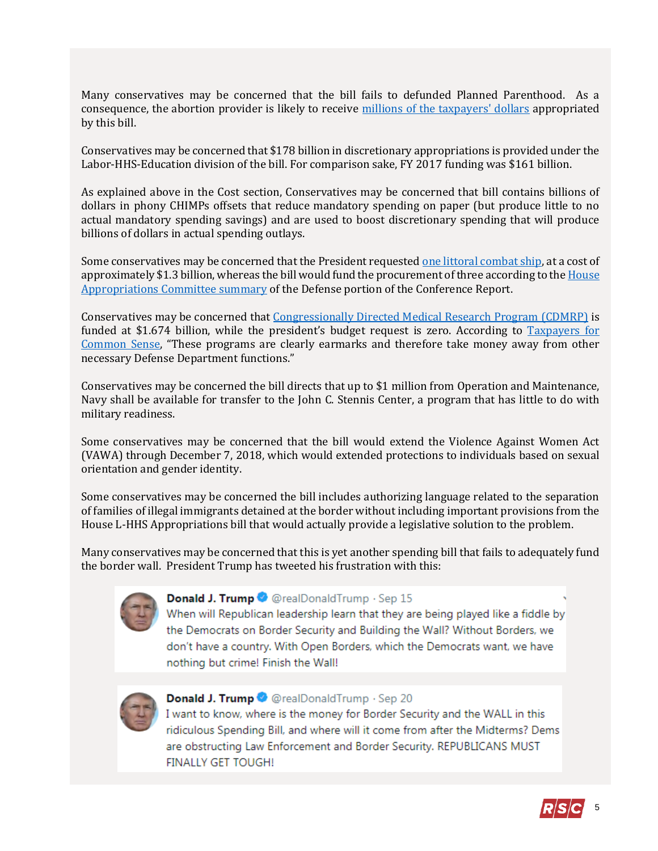Many conservatives may be concerned that the bill fails to defunded Planned Parenthood. As a consequence, the abortion provider is likely to receive [millions of the taxpayers' dollars](#page-14-0) appropriated by this bill.

Conservatives may be concerned that \$178 billion in discretionary appropriations is provided under the Labor-HHS-Education division of the bill. For comparison sake, FY 2017 funding was \$161 billion.

As explained above in the Cost section, Conservatives may be concerned that bill contains billions of dollars in phony CHIMPs offsets that reduce mandatory spending on paper (but produce little to no actual mandatory spending savings) and are used to boost discretionary spending that will produce billions of dollars in actual spending outlays.

Some conservatives may be concerned that the President requeste[d one littoral combat ship,](https://comptroller.defense.gov/Portals/45/Documents/defbudget/fy2019/FY2019_Budget_Request.pdf#page=9) at a cost of approximately \$1.3 billion, whereas the bill would fund the procurement of three according to th[e House](https://appropriations.house.gov/uploadedfiles/minibus_2_-_fy_2019_defense_appropriations_bill_-_summary.pdf)  [Appropriations Committee summary](https://appropriations.house.gov/uploadedfiles/minibus_2_-_fy_2019_defense_appropriations_bill_-_summary.pdf) of the Defense portion of the Conference Report.

Conservatives may be concerned that [Congressionally Directed Medical Research Program \(CDMRP\)](http://www.crs.gov/Reports/IF10349?source=search&guid=0e87c51078bc4599ab29d3c961428341&index=0) is funded at \$1.674 billion, while the president's budget request is zero. According to Taxpayers for [Common Sense,](http://public.cq.com/docs/weeklyreport/weeklyreport-000004132596.html) "These programs are clearly earmarks and therefore take money away from other necessary Defense Department functions."

Conservatives may be concerned the bill directs that up to \$1 million from Operation and Maintenance, Navy shall be available for transfer to the John C. Stennis Center, a program that has little to do with military readiness.

Some conservatives may be concerned that the bill would extend the Violence Against Women Act (VAWA) through December 7, 2018, which would extended protections to individuals based on sexual orientation and gender identity.

Some conservatives may be concerned the bill includes authorizing language related to the separation of families of illegal immigrants detained at the border without including important provisions from the House L-HHS Appropriations bill that would actually provide a legislative solution to the problem.

Many conservatives may be concerned that this is yet another spending bill that fails to adequately fund the border wall. President Trump has tweeted his frustration with this:



#### Donald J. Trump @ @realDonaldTrump · Sep 15

When will Republican leadership learn that they are being played like a fiddle by the Democrats on Border Security and Building the Wall? Without Borders, we don't have a country. With Open Borders, which the Democrats want, we have nothing but crime! Finish the Wall!



#### **Donald J. Trump ©** @realDonaldTrump · Sep 20

I want to know, where is the money for Border Security and the WALL in this ridiculous Spending Bill, and where will it come from after the Midterms? Dems are obstructing Law Enforcement and Border Security. REPUBLICANS MUST **FINALLY GET TOUGH!** 

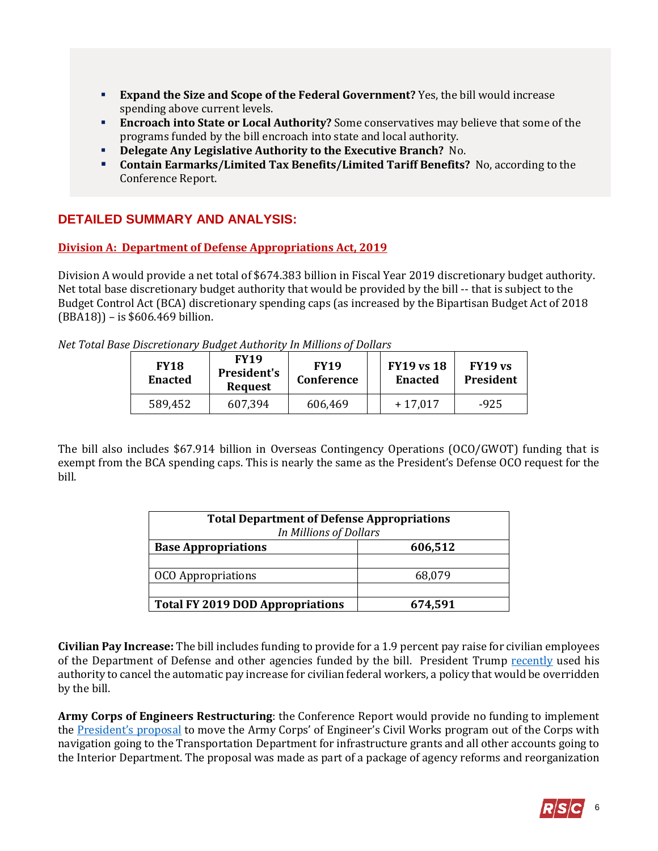- **Expand the Size and Scope of the Federal Government?** Yes, the bill would increase spending above current levels.
- **Encroach into State or Local Authority?** Some conservatives may believe that some of the programs funded by the bill encroach into state and local authority.
- **Delegate Any Legislative Authority to the Executive Branch?** No.
- **Contain Earmarks/Limited Tax Benefits/Limited Tariff Benefits?** No, according to the Conference Report.

# **DETAILED SUMMARY AND ANALYSIS:**

## **Division A: Department of Defense Appropriations Act, 2019**

Division A would provide a net total of \$674.383 billion in Fiscal Year 2019 discretionary budget authority. Net total base discretionary budget authority that would be provided by the bill -- that is subject to the Budget Control Act (BCA) discretionary spending caps (as increased by the Bipartisan Budget Act of 2018 (BBA18)) – is \$606.469 billion.

*Net Total Base Discretionary Budget Authority In Millions of Dollars*

| <b>FY18</b><br><b>Enacted</b> | <b>FY19</b><br><b>President's</b><br><b>Request</b> | <b>FY19</b><br><b>Conference</b> | <b>FY19 vs 18</b><br><b>Enacted</b> | FY19 vs<br>President |
|-------------------------------|-----------------------------------------------------|----------------------------------|-------------------------------------|----------------------|
| 589,452                       | 607,394                                             | 606,469                          | $+17,017$                           | $-925$               |

The bill also includes \$67.914 billion in Overseas Contingency Operations (OCO/GWOT) funding that is exempt from the BCA spending caps. This is nearly the same as the President's Defense OCO request for the bill.

| <b>Total Department of Defense Appropriations</b><br>In Millions of Dollars |         |  |  |  |  |
|-----------------------------------------------------------------------------|---------|--|--|--|--|
| <b>Base Appropriations</b>                                                  | 606,512 |  |  |  |  |
|                                                                             |         |  |  |  |  |
| <b>OCO</b> Appropriations                                                   | 68,079  |  |  |  |  |
|                                                                             |         |  |  |  |  |
| <b>Total FY 2019 DOD Appropriations</b>                                     | 674,591 |  |  |  |  |

**Civilian Pay Increase:** The bill includes funding to provide for a 1.9 percent pay raise for civilian employees of the Department of Defense and other agencies funded by the bill. President Trump [recently](https://www.whitehouse.gov/briefings-statements/text-letter-president-speaker-house-representatives-president-senate-32/) used his authority to cancel the automatic pay increase for civilian federal workers, a policy that would be overridden by the bill.

**Army Corps of Engineers Restructuring**: the Conference Report would provide no funding to implement the [President's proposal](https://www.performance.gov/GovReform/Reform-and-Reorg-Plan-Final.pdf#page=32) to move the Army Corps' of Engineer's Civil Works program out of the Corps with navigation going to the Transportation Department for infrastructure grants and all other accounts going to the Interior Department. The proposal was made as part of a package of agency reforms and reorganization

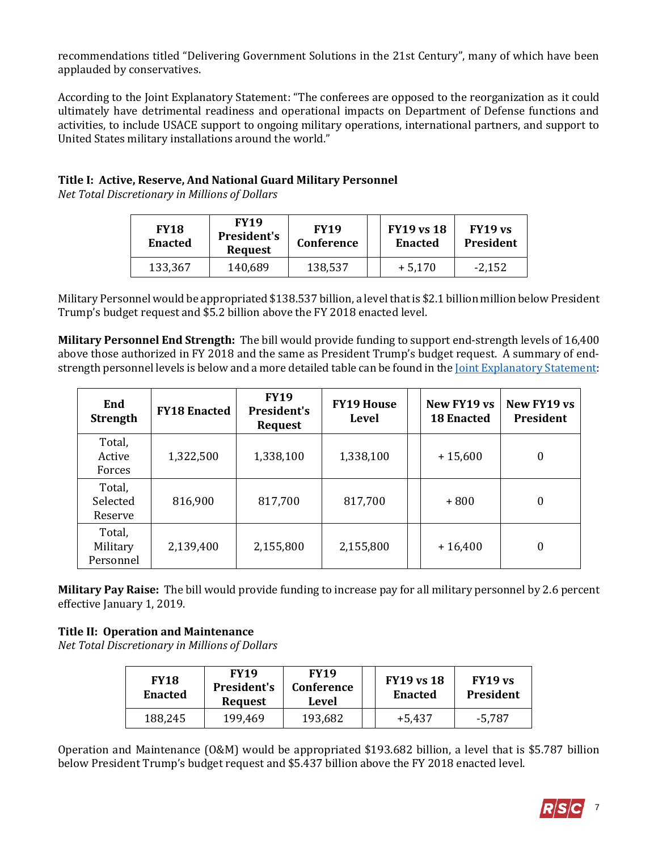recommendations titled "Delivering Government Solutions in the 21st Century", many of which have been applauded by conservatives.

According to the Joint Explanatory Statement: "The conferees are opposed to the reorganization as it could ultimately have detrimental readiness and operational impacts on Department of Defense functions and activities, to include USACE support to ongoing military operations, international partners, and support to United States military installations around the world."

## **Title I: Active, Reserve, And National Guard Military Personnel**

*Net Total Discretionary in Millions of Dollars*

| <b>FY18</b><br><b>Enacted</b> | <b>FY19</b><br><b>President's</b><br><b>Request</b> | <b>FY19</b><br>Conference | <b>FY19 vs 18</b><br><b>Enacted</b> | FY19 vs<br>President |
|-------------------------------|-----------------------------------------------------|---------------------------|-------------------------------------|----------------------|
| 133,367                       | 140,689                                             | 138,537                   | $+5,170$                            | -2,152               |

Military Personnel would be appropriated \$138.537 billion, a level that is \$2.1 billion million below President Trump's budget request and \$5.2 billion above the FY 2018 enacted level.

**Military Personnel End Strength:** The bill would provide funding to support end-strength levels of 16,400 above those authorized in FY 2018 and the same as President Trump's budget request. A summary of endstrength personnel levels is below and a more detailed table can be found in th[e Joint Explanatory Statement:](https://docs.house.gov/billsthisweek/20180910/Joint%20%20Statement.pdf#page=13)

| End<br><b>Strength</b>          | <b>FY18 Enacted</b> | <b>FY19</b><br><b>President's</b><br><b>Request</b> | <b>FY19 House</b><br>Level | New FY19 vs<br><b>18 Enacted</b> | New FY19 vs<br><b>President</b> |
|---------------------------------|---------------------|-----------------------------------------------------|----------------------------|----------------------------------|---------------------------------|
| Total,<br>Active<br>Forces      | 1,322,500           | 1,338,100                                           | 1,338,100                  | $+15,600$                        | $\boldsymbol{0}$                |
| Total,<br>Selected<br>Reserve   | 816,900             | 817,700                                             | 817,700                    | $+800$                           | $\boldsymbol{0}$                |
| Total,<br>Military<br>Personnel | 2,139,400           | 2,155,800                                           | 2,155,800                  | $+16,400$                        | $\boldsymbol{0}$                |

**Military Pay Raise:** The bill would provide funding to increase pay for all military personnel by 2.6 percent effective January 1, 2019.

## **Title II: Operation and Maintenance**

*Net Total Discretionary in Millions of Dollars*

| <b>FY18</b><br><b>Enacted</b> | <b>FY19</b><br><b>FY19</b><br>President's<br>Conference<br><b>Request</b><br>Level |         | <b>FY19 vs 18</b><br><b>Enacted</b> | FY19 vs<br>President |
|-------------------------------|------------------------------------------------------------------------------------|---------|-------------------------------------|----------------------|
| 188,245                       | 199,469                                                                            | 193,682 | +5.437                              | -5.787               |

Operation and Maintenance (O&M) would be appropriated \$193.682 billion, a level that is \$5.787 billion below President Trump's budget request and \$5.437 billion above the FY 2018 enacted level.

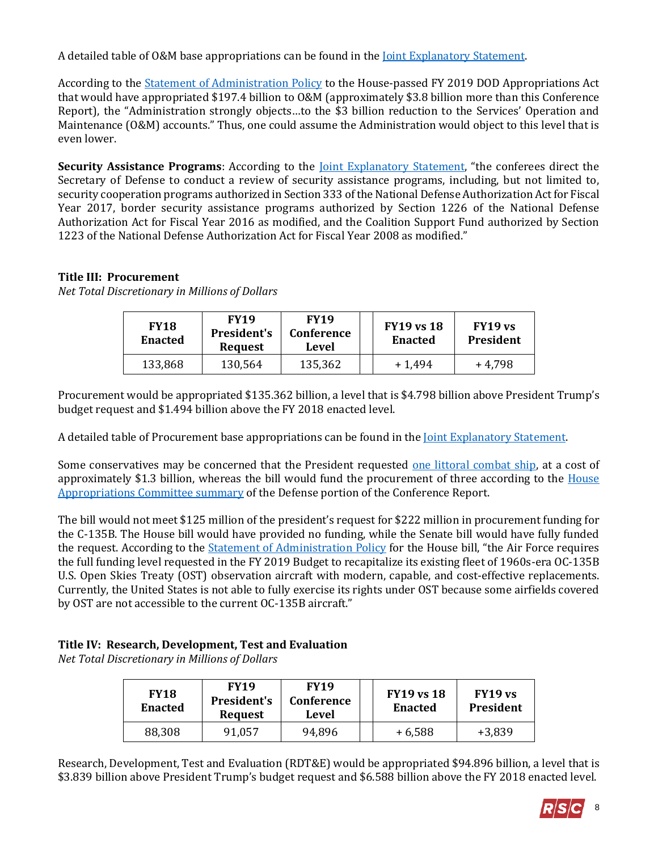A detailed table of O&M base appropriations can be found in the [Joint Explanatory Statement.](https://docs.house.gov/billsthisweek/20180910/Joint%20%20Statement.pdf#page=53)

According to the [Statement of Administration Policy](https://www.whitehouse.gov/omb/statements-of-administration-policy/) to the House-passed FY 2019 DOD Appropriations Act that would have appropriated \$197.4 billion to O&M (approximately \$3.8 billion more than this Conference Report), the "Administration strongly objects…to the \$3 billion reduction to the Services' Operation and Maintenance (O&M) accounts." Thus, one could assume the Administration would object to this level that is even lower.

**Security Assistance Programs:** According to the <u>Joint Explanatory Statement</u>, "the conferees direct the Secretary of Defense to conduct a review of security assistance programs, including, but not limited to, security cooperation programs authorized in Section 333 of the National Defense Authorization Act for Fiscal Year 2017, border security assistance programs authorized by Section 1226 of the National Defense Authorization Act for Fiscal Year 2016 as modified, and the Coalition Support Fund authorized by Section 1223 of the National Defense Authorization Act for Fiscal Year 2008 as modified."

## **Title III: Procurement**

*Net Total Discretionary in Millions of Dollars*

| <b>FY18</b><br><b>Enacted</b> | <b>FY19</b><br><b>FY19</b><br><b>President's</b><br>Conference<br>Level<br><b>Request</b> |         | <b>FY19 vs 18</b><br><b>Enacted</b> | FY19 vs<br>President |  |
|-------------------------------|-------------------------------------------------------------------------------------------|---------|-------------------------------------|----------------------|--|
| 133,868                       | 130,564                                                                                   | 135,362 | $+1,494$                            | +4.798               |  |

Procurement would be appropriated \$135.362 billion, a level that is \$4.798 billion above President Trump's budget request and \$1.494 billion above the FY 2018 enacted level.

A detailed table of Procurement base appropriations can be found in the [Joint Explanatory Statement.](https://docs.house.gov/billsthisweek/20180910/Joint%20%20Statement.pdf#page=117)

Some conservatives may be concerned that the President requested [one littoral combat ship,](https://comptroller.defense.gov/Portals/45/Documents/defbudget/fy2019/FY2019_Budget_Request.pdf#page=9) at a cost of approximately \$1.3 billion, whereas the bill would fund the procurement of three according to the [House](https://appropriations.house.gov/uploadedfiles/minibus_2_-_fy_2019_defense_appropriations_bill_-_summary.pdf)  [Appropriations Committee summary](https://appropriations.house.gov/uploadedfiles/minibus_2_-_fy_2019_defense_appropriations_bill_-_summary.pdf) of the Defense portion of the Conference Report.

The bill would not meet \$125 million of the president's request for \$222 million in procurement funding for the C-135B. The House bill would have provided no funding, while the Senate bill would have fully funded the request. According to the [Statement of Administration Policy](https://www.whitehouse.gov/wp-content/uploads/2018/06/saphr6157hr_20180626.pdf) for the House bill, "the Air Force requires the full funding level requested in the FY 2019 Budget to recapitalize its existing fleet of 1960s-era OC-135B U.S. Open Skies Treaty (OST) observation aircraft with modern, capable, and cost-effective replacements. Currently, the United States is not able to fully exercise its rights under OST because some airfields covered by OST are not accessible to the current OC-135B aircraft."

## **Title IV: Research, Development, Test and Evaluation**

*Net Total Discretionary in Millions of Dollars*

| <b>FY18</b><br><b>Enacted</b> | <b>FY19</b><br>President's<br><b>Request</b> | <b>FY19</b><br>Conference<br>Level |  | <b>FY19 vs 18</b><br><b>Enacted</b> | FY19 vs<br>President |
|-------------------------------|----------------------------------------------|------------------------------------|--|-------------------------------------|----------------------|
| 88,308                        | 91,057                                       | 94,896                             |  | $+6,588$                            | $+3,839$             |

Research, Development, Test and Evaluation (RDT&E) would be appropriated \$94.896 billion, a level that is \$3.839 billion above President Trump's budget request and \$6.588 billion above the FY 2018 enacted level.

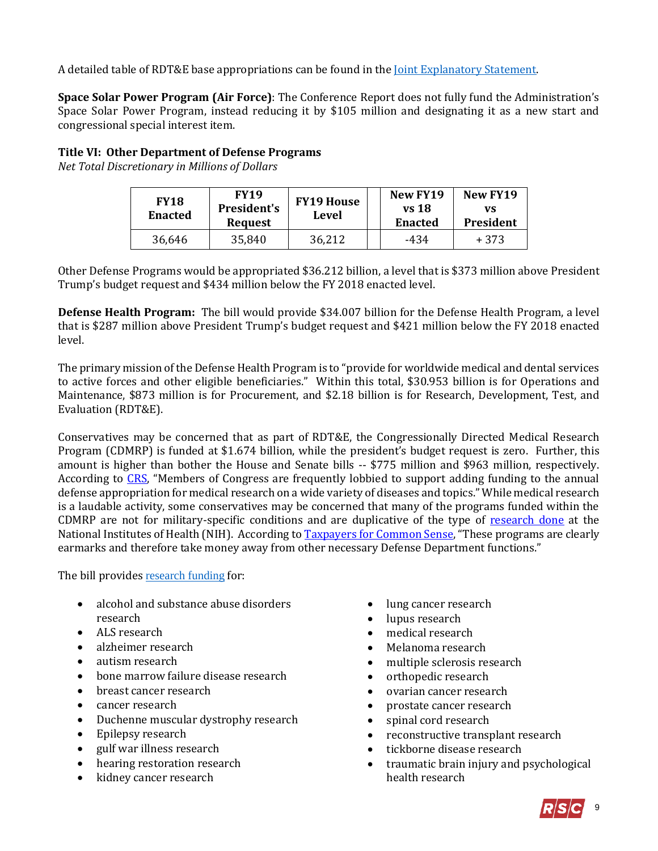A detailed table of RDT&E base appropriations can be found in the [Joint Explanatory Statement.](https://docs.house.gov/billsthisweek/20180910/Joint%20%20Statement.pdf#page=234)

**Space Solar Power Program (Air Force)**: The Conference Report does not fully fund the Administration's Space Solar Power Program, instead reducing it by \$105 million and designating it as a new start and congressional special interest item.

## **Title VI: Other Department of Defense Programs**

*Net Total Discretionary in Millions of Dollars*

| <b>FY18</b><br><b>Enacted</b> | <b>FY19</b><br><b>President's</b><br><b>Request</b> | <b>FY19 House</b><br>Level | New FY19<br>vs 18<br><b>Enacted</b> | New FY19<br>vs<br>President |  |
|-------------------------------|-----------------------------------------------------|----------------------------|-------------------------------------|-----------------------------|--|
| 36,646                        | 35,840                                              | 36,212                     | -434                                | + 373                       |  |

Other Defense Programs would be appropriated \$36.212 billion, a level that is \$373 million above President Trump's budget request and \$434 million below the FY 2018 enacted level.

**Defense Health Program:** The bill would provide \$34.007 billion for the Defense Health Program, a level that is \$287 million above President Trump's budget request and \$421 million below the FY 2018 enacted level.

The primary mission of the Defense Health Program is to "provide for worldwide medical and dental services to active forces and other eligible beneficiaries." Within this total, \$30.953 billion is for Operations and Maintenance, \$873 million is for Procurement, and \$2.18 billion is for Research, Development, Test, and Evaluation (RDT&E).

Conservatives may be concerned that as part of RDT&E, the Congressionally Directed Medical Research Program (CDMRP) is funded at \$1.674 billion, while the president's budget request is zero. Further, this amount is higher than bother the House and Senate bills -- \$775 million and \$963 million, respectively. According to [CRS](http://www.crs.gov/Reports/IF10349?source=search&guid=0e87c51078bc4599ab29d3c961428341&index=0), "Members of Congress are frequently lobbied to support adding funding to the annual defense appropriation for medical research on a wide variety of diseases and topics." While medical research is a laudable activity, some conservatives may be concerned that many of the programs funded within the CDMRP are not for military-specific conditions and are duplicative of the type of [research done](https://report.nih.gov/categorical_spending.aspx) at the National Institutes of Health (NIH). According t[o Taxpayers for Common Sense](http://public.cq.com/docs/weeklyreport/weeklyreport-000004132596.html), "These programs are clearly earmarks and therefore take money away from other necessary Defense Department functions."

The bill provides [research funding](https://docs.house.gov/billsthisweek/20180910/Joint%20%20Statement.pdf#page=333) for:

- alcohol and substance abuse disorders research
- ALS research
- alzheimer research
- autism research
- bone marrow failure disease research
- breast cancer research
- cancer research
- Duchenne muscular dystrophy research
- Epilepsy research
- gulf war illness research
- hearing restoration research
- kidney cancer research
- lung cancer research
- lupus research
- medical research
- Melanoma research
- multiple sclerosis research
- orthopedic research
- ovarian cancer research
- prostate cancer research
- spinal cord research
- reconstructive transplant research
- tickborne disease research
- traumatic brain injury and psychological health research

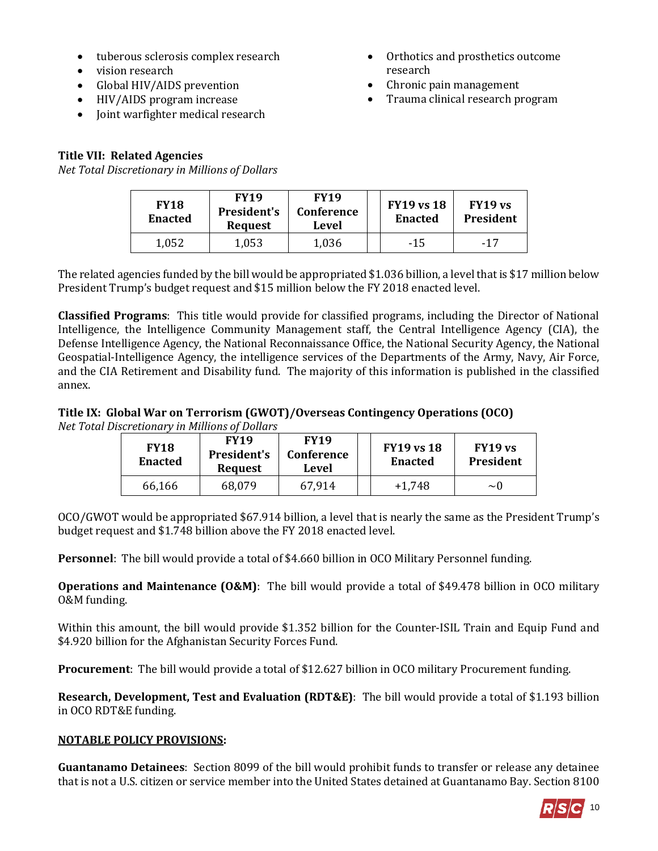- tuberous sclerosis complex research
- vision research
- Global HIV/AIDS prevention
- HIV/AIDS program increase
- Joint warfighter medical research

# **Title VII: Related Agencies**

*Net Total Discretionary in Millions of Dollars*

- Orthotics and prosthetics outcome research
- Chronic pain management
- Trauma clinical research program

| <b>FY18</b><br><b>Enacted</b> | <b>FY19</b><br>President's<br><b>Request</b> | <b>FY19</b><br><b>Conference</b><br>Level | <b>FY19 vs 18</b><br><b>Enacted</b> | FY19 vs<br>President |
|-------------------------------|----------------------------------------------|-------------------------------------------|-------------------------------------|----------------------|
| 1,052                         | 1,053                                        | 1,036                                     | $-15$                               | $-17$                |

The related agencies funded by the bill would be appropriated \$1.036 billion, a level that is \$17 million below President Trump's budget request and \$15 million below the FY 2018 enacted level.

**Classified Programs**: This title would provide for classified programs, including the Director of National Intelligence, the Intelligence Community Management staff, the Central Intelligence Agency (CIA), the Defense Intelligence Agency, the National Reconnaissance Office, the National Security Agency, the National Geospatial-Intelligence Agency, the intelligence services of the Departments of the Army, Navy, Air Force, and the CIA Retirement and Disability fund. The majority of this information is published in the classified annex.

# **Title IX: Global War on Terrorism (GWOT)/Overseas Contingency Operations (OCO)**

*Net Total Discretionary in Millions of Dollars*

| <b>FY18</b><br><b>Enacted</b> | <b>FY19</b><br><b>President's</b><br><b>Request</b> | <b>FY19</b><br><b>Conference</b><br>Level | <b>FY19 vs 18</b><br><b>Enacted</b> | FY19 vs.<br>President |
|-------------------------------|-----------------------------------------------------|-------------------------------------------|-------------------------------------|-----------------------|
| 66,166                        | 68,079                                              | 67,914                                    | $+1.748$                            | $\sim$ ()             |

OCO/GWOT would be appropriated \$67.914 billion, a level that is nearly the same as the President Trump's budget request and \$1.748 billion above the FY 2018 enacted level.

**Personnel**: The bill would provide a total of \$4.660 billion in OCO Military Personnel funding.

**Operations and Maintenance (O&M)**: The bill would provide a total of \$49.478 billion in OCO military O&M funding.

Within this amount, the bill would provide \$1.352 billion for the Counter-ISIL Train and Equip Fund and \$4.920 billion for the Afghanistan Security Forces Fund.

**Procurement**: The bill would provide a total of \$12.627 billion in OCO military Procurement funding.

**Research, Development, Test and Evaluation (RDT&E)**: The bill would provide a total of \$1.193 billion in OCO RDT&E funding.

## **NOTABLE POLICY PROVISIONS:**

**Guantanamo Detainees**:Section 8099 of the bill would prohibit funds to transfer or release any detainee that is not a U.S. citizen or service member into the United States detained at Guantanamo Bay. Section 8100

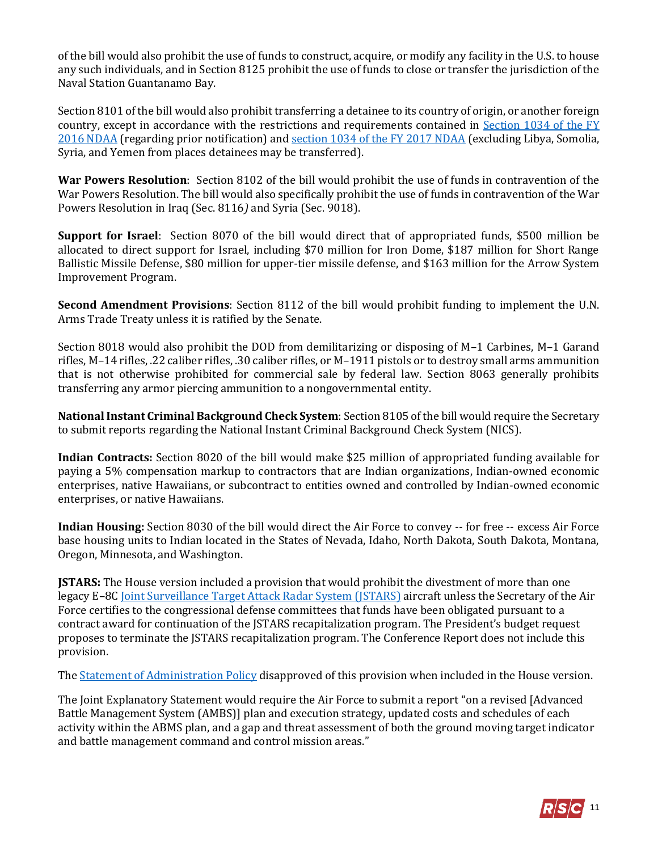of the bill would also prohibit the use of funds to construct, acquire, or modify any facility in the U.S. to house any such individuals, and in Section 8125 prohibit the use of funds to close or transfer the jurisdiction of the Naval Station Guantanamo Bay.

Section 8101 of the bill would also prohibit transferring a detainee to its country of origin, or another foreign country, except in accordance with the restrictions and requirements contained in [Section 1034 of the FY](https://www.congress.gov/114/plaws/publ92/PLAW-114publ92.pdf#page=245)  [2016 NDAA](https://www.congress.gov/114/plaws/publ92/PLAW-114publ92.pdf#page=245) (regarding prior notification) an[d section 1034 of the FY 2017 NDAA](https://www.congress.gov/114/plaws/publ328/PLAW-114publ328.pdf#page=392) (excluding Libya, Somolia, Syria, and Yemen from places detainees may be transferred).

**War Powers Resolution**: Section 8102 of the bill would prohibit the use of funds in contravention of the War Powers Resolution. The bill would also specifically prohibit the use of funds in contravention of the War Powers Resolution in Iraq (Sec. 8116*)* and Syria (Sec. 9018).

**Support for Israel**: Section 8070 of the bill would direct that of appropriated funds, \$500 million be allocated to direct support for Israel, including \$70 million for Iron Dome, \$187 million for Short Range Ballistic Missile Defense, \$80 million for upper-tier missile defense, and \$163 million for the Arrow System Improvement Program.

**Second Amendment Provisions**: Section 8112 of the bill would prohibit funding to implement the U.N. Arms Trade Treaty unless it is ratified by the Senate.

Section 8018 would also prohibit the DOD from demilitarizing or disposing of M–1 Carbines, M–1 Garand rifles, M–14 rifles, .22 caliber rifles, .30 caliber rifles, or M–1911 pistols or to destroy small arms ammunition that is not otherwise prohibited for commercial sale by federal law. Section 8063 generally prohibits transferring any armor piercing ammunition to a nongovernmental entity.

**National Instant Criminal Background Check System**: Section 8105 of the bill would require the Secretary to submit reports regarding the National Instant Criminal Background Check System (NICS).

**Indian Contracts:** Section 8020 of the bill would make \$25 million of appropriated funding available for paying a 5% compensation markup to contractors that are Indian organizations, Indian-owned economic enterprises, native Hawaiians, or subcontract to entities owned and controlled by Indian-owned economic enterprises, or native Hawaiians.

**Indian Housing:** Section 8030 of the bill would direct the Air Force to convey -- for free -- excess Air Force base housing units to Indian located in the States of Nevada, Idaho, North Dakota, South Dakota, Montana, Oregon, Minnesota, and Washington.

**JSTARS:** The House version included a provision that would prohibit the divestment of more than one legacy E–8[C Joint Surveillance Target Attack Radar System \(JSTARS\)](http://www.af.mil/About-Us/Fact-Sheets/Display/Article/104507/e-8c-joint-stars/) aircraft unless the Secretary of the Air Force certifies to the congressional defense committees that funds have been obligated pursuant to a contract award for continuation of the JSTARS recapitalization program. The President's budget request proposes to terminate the JSTARS recapitalization program. The Conference Report does not include this provision.

Th[e Statement of Administration Policy](https://www.whitehouse.gov/omb/statements-of-administration-policy/) disapproved of this provision when included in the House version.

The Joint Explanatory Statement would require the Air Force to submit a report "on a revised [Advanced Battle Management System (AMBS)] plan and execution strategy, updated costs and schedules of each activity within the ABMS plan, and a gap and threat assessment of both the ground moving target indicator and battle management command and control mission areas."

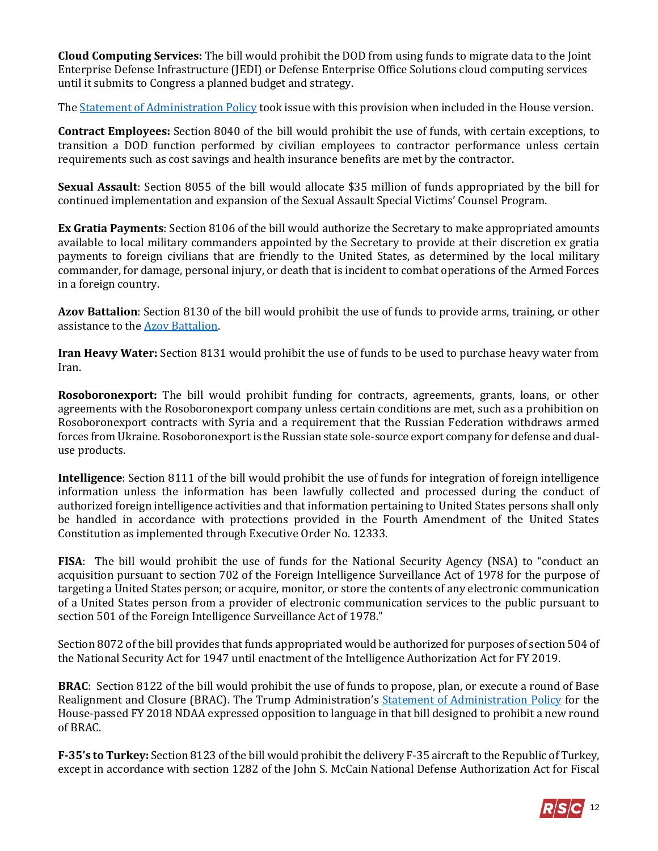**Cloud Computing Services:** The bill would prohibit the DOD from using funds to migrate data to the Joint Enterprise Defense Infrastructure (JEDI) or Defense Enterprise Office Solutions cloud computing services until it submits to Congress a planned budget and strategy.

Th[e Statement of Administration Policy](https://www.whitehouse.gov/omb/statements-of-administration-policy/) took issue with this provision when included in the House version.

**Contract Employees:** Section 8040 of the bill would prohibit the use of funds, with certain exceptions, to transition a DOD function performed by civilian employees to contractor performance unless certain requirements such as cost savings and health insurance benefits are met by the contractor.

**Sexual Assault**: Section 8055 of the bill would allocate \$35 million of funds appropriated by the bill for continued implementation and expansion of the Sexual Assault Special Victims' Counsel Program.

**Ex Gratia Payments**: Section 8106 of the bill would authorize the Secretary to make appropriated amounts available to local military commanders appointed by the Secretary to provide at their discretion ex gratia payments to foreign civilians that are friendly to the United States, as determined by the local military commander, for damage, personal injury, or death that is incident to combat operations of the Armed Forces in a foreign country.

**Azov Battalion**: Section 8130 of the bill would prohibit the use of funds to provide arms, training, or other assistance to the [Azov Battalion.](http://thehill.com/policy/defense/380483-congress-bans-arms-to-controversial-ukrainian-militia-linked-to-neo-nazis)

**Iran Heavy Water:** Section 8131 would prohibit the use of funds to be used to purchase heavy water from Iran.

**Rosoboronexport:** The bill would prohibit funding for contracts, agreements, grants, loans, or other agreements with the Rosoboronexport company unless certain conditions are met, such as a prohibition on Rosoboronexport contracts with Syria and a requirement that the Russian Federation withdraws armed forces from Ukraine. Rosoboronexport is the Russian state sole-source export company for defense and dualuse products.

**Intelligence**: Section 8111 of the bill would prohibit the use of funds for integration of foreign intelligence information unless the information has been lawfully collected and processed during the conduct of authorized foreign intelligence activities and that information pertaining to United States persons shall only be handled in accordance with protections provided in the Fourth Amendment of the United States Constitution as implemented through Executive Order No. 12333.

**FISA**: The bill would prohibit the use of funds for the National Security Agency (NSA) to "conduct an acquisition pursuant to section 702 of the Foreign Intelligence Surveillance Act of 1978 for the purpose of targeting a United States person; or acquire, monitor, or store the contents of any electronic communication of a United States person from a provider of electronic communication services to the public pursuant to section 501 of the Foreign Intelligence Surveillance Act of 1978."

Section 8072 of the bill provides that funds appropriated would be authorized for purposes of section 504 of the National Security Act for 1947 until enactment of the Intelligence Authorization Act for FY 2019.

**BRAC**: Section 8122 of the bill would prohibit the use of funds to propose, plan, or execute a round of Base Realignment and Closure (BRAC). The Trump Administration's [Statement of Administration Policy](https://www.whitehouse.gov/sites/whitehouse.gov/files/omb/saphr2810hr_20170712.pdf) for the House-passed FY 2018 NDAA expressed opposition to language in that bill designed to prohibit a new round of BRAC.

**F-35's to Turkey:** Section 8123 of the bill would prohibit the delivery F-35 aircraft to the Republic of Turkey, except in accordance with section 1282 of the John S. McCain National Defense Authorization Act for Fiscal

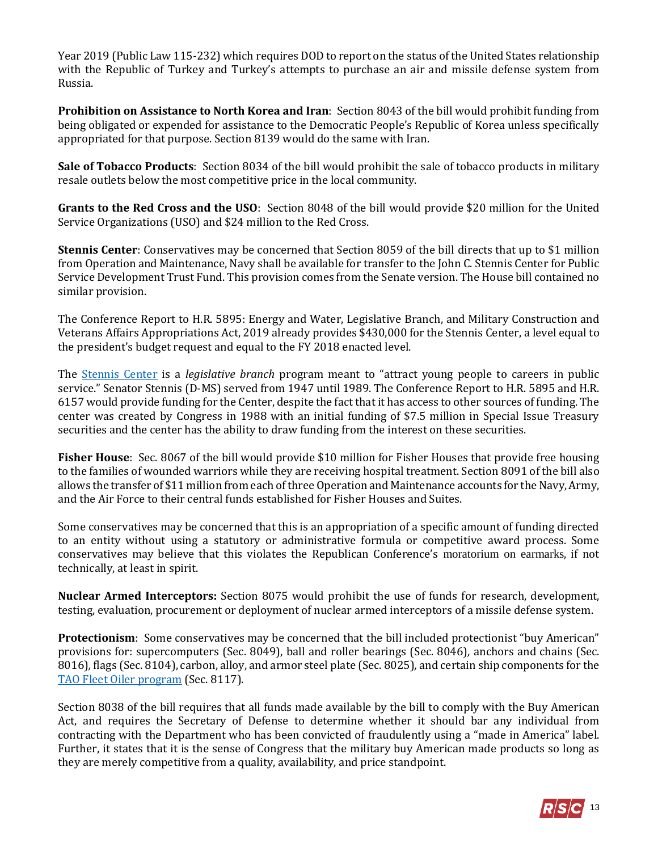Year 2019 (Public Law 115-232) which requires DOD to report on the status of the United States relationship with the Republic of Turkey and Turkey's attempts to purchase an air and missile defense system from Russia.

**Prohibition on Assistance to North Korea and Iran**: Section 8043 of the bill would prohibit funding from being obligated or expended for assistance to the Democratic People's Republic of Korea unless specifically appropriated for that purpose. Section 8139 would do the same with Iran.

**Sale of Tobacco Products**: Section 8034 of the bill would prohibit the sale of tobacco products in military resale outlets below the most competitive price in the local community.

**Grants to the Red Cross and the USO**: Section 8048 of the bill would provide \$20 million for the United Service Organizations (USO) and \$24 million to the Red Cross.

**Stennis Center**: Conservatives may be concerned that Section 8059 of the bill directs that up to \$1 million from Operation and Maintenance, Navy shall be available for transfer to the John C. Stennis Center for Public Service Development Trust Fund. This provision comes from the Senate version. The House bill contained no similar provision.

The Conference Report to H.R. 5895: Energy and Water, Legislative Branch, and Military Construction and Veterans Affairs Appropriations Act, 2019 already provides \$430,000 for the Stennis Center, a level equal to the president's budget request and equal to the FY 2018 enacted level.

The [Stennis Center](http://www.stennis.gov/) is a *legislative branch* program meant to "attract young people to careers in public service." Senator Stennis (D-MS) served from 1947 until 1989. The Conference Report to H.R. 5895 and H.R. 6157 would provide funding for the Center, despite the fact that it has access to other sources of funding. The center was created by Congress in 1988 with an initial funding of \$7.5 million in Special Issue Treasury securities and the center has the ability to draw funding from the interest on these securities.

**Fisher House**:Sec. 8067 of the bill would provide \$10 million for Fisher Houses that provide free housing to the families of wounded warriors while they are receiving hospital treatment. Section 8091 of the bill also allows the transfer of \$11 million from each of three Operation and Maintenance accounts for the Navy, Army, and the Air Force to their central funds established for Fisher Houses and Suites.

Some conservatives may be concerned that this is an appropriation of a specific amount of funding directed to an entity without using a statutory or administrative formula or competitive award process. Some conservatives may believe that this violates the Republican Conference's moratorium on earmarks, if not technically, at least in spirit.

**Nuclear Armed Interceptors:** Section 8075 would prohibit the use of funds for research, development, testing, evaluation, procurement or deployment of nuclear armed interceptors of a missile defense system.

**Protectionism**: Some conservatives may be concerned that the bill included protectionist "buy American" provisions for: supercomputers (Sec. 8049), ball and roller bearings (Sec. 8046)*,* anchors and chains (Sec. 8016)*,* flags (Sec. 8104), carbon, alloy, and armor steel plate (Sec. 8025)*,* and certain ship components for the [TAO Fleet Oiler program](https://www.history.navy.mil/research/library/online-reading-room/title-list-alphabetically/n/navy-john-lewis-class-oiler-shipbulding-program.html#sum) (Sec. 8117).

Section 8038 of the bill requires that all funds made available by the bill to comply with the Buy American Act, and requires the Secretary of Defense to determine whether it should bar any individual from contracting with the Department who has been convicted of fraudulently using a "made in America" label. Further, it states that it is the sense of Congress that the military buy American made products so long as they are merely competitive from a quality, availability, and price standpoint.

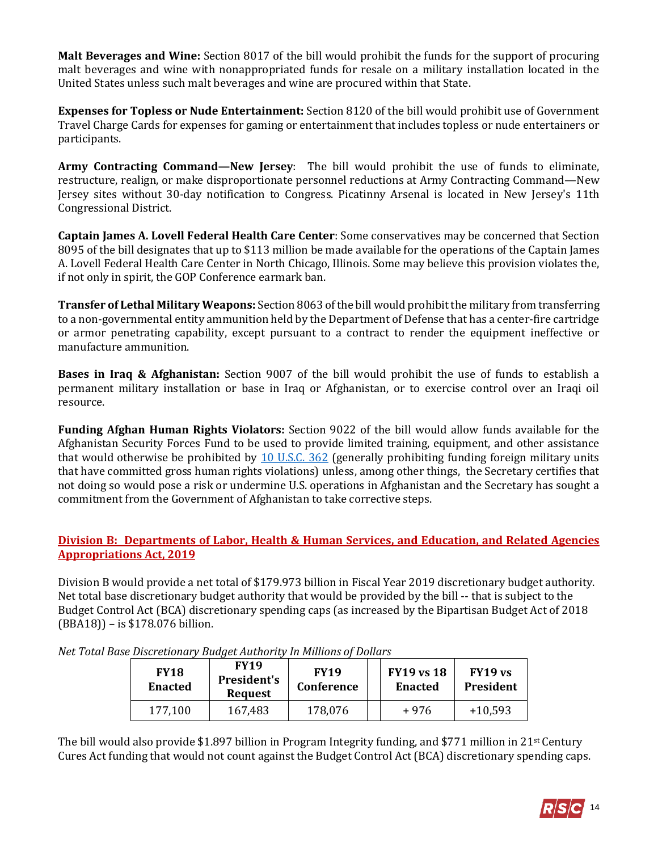**Malt Beverages and Wine:** Section 8017 of the bill would prohibit the funds for the support of procuring malt beverages and wine with nonappropriated funds for resale on a military installation located in the United States unless such malt beverages and wine are procured within that State.

**Expenses for Topless or Nude Entertainment:** Section 8120 of the bill would prohibit use of Government Travel Charge Cards for expenses for gaming or entertainment that includes topless or nude entertainers or participants.

**Army Contracting Command—New Jersey**: The bill would prohibit the use of funds to eliminate, restructure, realign, or make disproportionate personnel reductions at Army Contracting Command—New Jersey sites without 30-day notification to Congress. Picatinny Arsenal is located in New Jersey's 11th Congressional District.

**Captain James A. Lovell Federal Health Care Center**: Some conservatives may be concerned that Section 8095 of the bill designates that up to \$113 million be made available for the operations of the Captain James A. Lovell Federal Health Care Center in North Chicago, Illinois. Some may believe this provision violates the, if not only in spirit, the GOP Conference earmark ban.

**Transfer of Lethal Military Weapons:** Section 8063 of the bill would prohibit the military from transferring to a non-governmental entity ammunition held by the Department of Defense that has a center-fire cartridge or armor penetrating capability, except pursuant to a contract to render the equipment ineffective or manufacture ammunition.

**Bases in Iraq & Afghanistan:** Section 9007 of the bill would prohibit the use of funds to establish a permanent military installation or base in Iraq or Afghanistan, or to exercise control over an Iraqi oil resource.

**Funding Afghan Human Rights Violators:** Section 9022 of the bill would allow funds available for the Afghanistan Security Forces Fund to be used to provide limited training, equipment, and other assistance that would otherwise be prohibited by [10 U.S.C. 362](http://uscode.house.gov/view.xhtml?req=(title:10%20section:362%20edition:prelim)%20OR%20(granuleid:USC-prelim-title10-section362)&f=treesort&edition=prelim&num=0&jumpTo=true) (generally prohibiting funding foreign military units that have committed gross human rights violations) unless, among other things, the Secretary certifies that not doing so would pose a risk or undermine U.S. operations in Afghanistan and the Secretary has sought a commitment from the Government of Afghanistan to take corrective steps.

## **Division B: Departments of Labor, Health & Human Services, and Education, and Related Agencies Appropriations Act, 2019**

Division B would provide a net total of \$179.973 billion in Fiscal Year 2019 discretionary budget authority. Net total base discretionary budget authority that would be provided by the bill -- that is subject to the Budget Control Act (BCA) discretionary spending caps (as increased by the Bipartisan Budget Act of 2018 (BBA18)) – is \$178.076 billion.

| <b>FY18</b><br><b>Enacted</b> | <b>FY19</b><br>President's<br><b>Request</b> | <b>FY19</b><br><b>Conference</b> | <b>FY19 vs 18</b><br><b>Enacted</b> | FY19 vs<br>President |
|-------------------------------|----------------------------------------------|----------------------------------|-------------------------------------|----------------------|
| 177,100                       | 167,483                                      | 178,076                          | +976                                | $+10,593$            |

*Net Total Base Discretionary Budget Authority In Millions of Dollars*

The bill would also provide \$1.897 billion in Program Integrity funding, and \$771 million in 21<sup>st</sup> Century Cures Act funding that would not count against the Budget Control Act (BCA) discretionary spending caps.

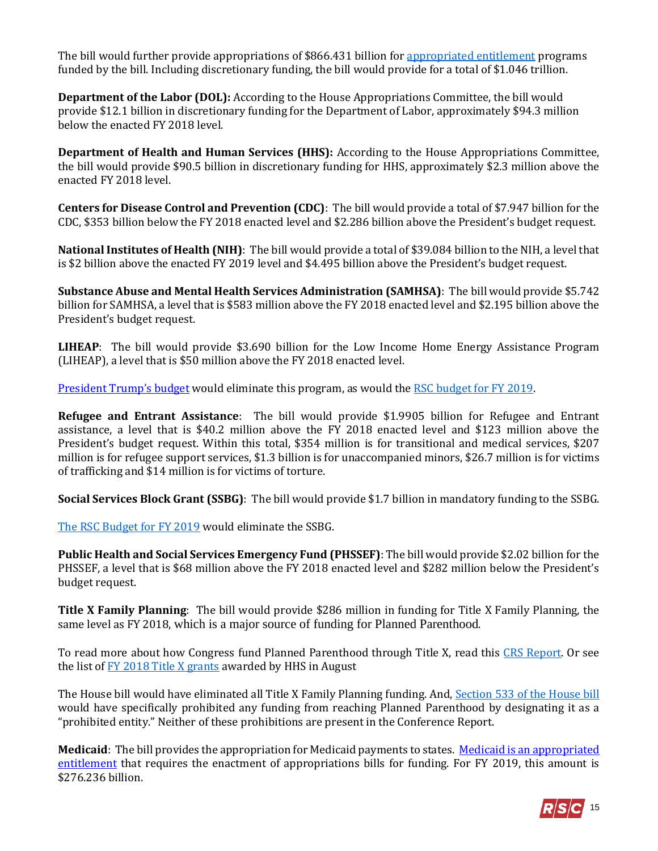The bill would further provide appropriations of \$866.431 billion for [appropriated entitlement](https://fas.org/sgp/crs/misc/R44582.pdf#page=16) programs funded by the bill. Including discretionary funding, the bill would provide for a total of \$1.046 trillion.

**Department of the Labor (DOL):** According to the House Appropriations Committee, the bill would provide \$12.1 billion in discretionary funding for the Department of Labor, approximately \$94.3 million below the enacted FY 2018 level.

**Department of Health and Human Services (HHS):** According to the House Appropriations Committee, the bill would provide \$90.5 billion in discretionary funding for HHS, approximately \$2.3 million above the enacted FY 2018 level.

**Centers for Disease Control and Prevention (CDC)**: The bill would provide a total of \$7.947 billion for the CDC, \$353 billion below the FY 2018 enacted level and \$2.286 billion above the President's budget request.

**National Institutes of Health (NIH)**: The bill would provide a total of \$39.084 billion to the NIH, a level that is \$2 billion above the enacted FY 2019 level and \$4.495 billion above the President's budget request.

**Substance Abuse and Mental Health Services Administration (SAMHSA)**: The bill would provide \$5.742 billion for SAMHSA, a level that is \$583 million above the FY 2018 enacted level and \$2.195 billion above the President's budget request.

**LIHEAP**: The bill would provide \$3.690 billion for the Low Income Home Energy Assistance Program (LIHEAP), a level that is \$50 million above the FY 2018 enacted level.

[President Trump's budget](https://www.whitehouse.gov/wp-content/uploads/2018/02/msar-fy2019.pdf#page=53) would eliminate this program, as would the [RSC budget for FY 2019.](https://rsc-walker.house.gov/sites/republicanstudycommittee.house.gov/files/wysiwyg_uploaded/RSC%20Budget%20FY2019%20-%20Narrative%20-%20FINAL.PDF#page=137) 

**Refugee and Entrant Assistance**: The bill would provide \$1.9905 billion for Refugee and Entrant assistance, a level that is \$40.2 million above the FY 2018 enacted level and \$123 million above the President's budget request. Within this total, \$354 million is for transitional and medical services, \$207 million is for refugee support services, \$1.3 billion is for unaccompanied minors, \$26.7 million is for victims of trafficking and \$14 million is for victims of torture.

**Social Services Block Grant (SSBG)**: The bill would provide \$1.7 billion in mandatory funding to the SSBG.

[The RSC Budget for FY 2019](https://rsc-walker.house.gov/sites/republicanstudycommittee.house.gov/files/wysiwyg_uploaded/RSC%20Budget%20FY2019%20-%20Narrative%20-%20FINAL.PDF#page=106) would eliminate the SSBG.

**Public Health and Social Services Emergency Fund (PHSSEF)**: The bill would provide \$2.02 billion for the PHSSEF, a level that is \$68 million above the FY 2018 enacted level and \$282 million below the President's budget request.

<span id="page-14-0"></span>**Title X Family Planning**: The bill would provide \$286 million in funding for Title X Family Planning, the same level as FY 2018, which is a major source of funding for Planned Parenthood.

To read more about how Congress fund Planned Parenthood through Title X, read this [CRS Report.](https://fas.org/sgp/crs/misc/R45181.pdf) Or see the list of **FY 2018 Title X grants** awarded by HHS in August

The House bill would have eliminated all Title X Family Planning funding. And, [Section 533 of the House bill](https://www.congress.gov/115/bills/hr6470/BILLS-115hr6470rh.pdf#page=174) would have specifically prohibited any funding from reaching Planned Parenthood by designating it as a "prohibited entity." Neither of these prohibitions are present in the Conference Report.

**Medicaid**: The bill provides the appropriation for Medicaid payments to states. [Medicaid is an appropriated](http://www.crs.gov/Reports/R42640#_Toc437857668)  [entitlement](http://www.crs.gov/Reports/R42640#_Toc437857668) that requires the enactment of appropriations bills for funding. For FY 2019, this amount is \$276.236 billion.

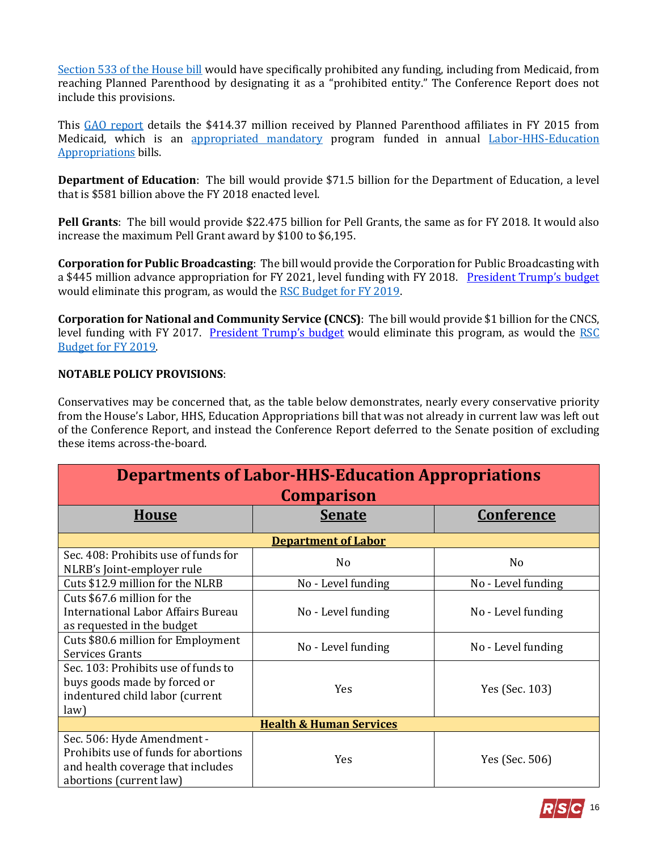[Section 533 of the House bill](https://www.congress.gov/115/bills/hr6470/BILLS-115hr6470rh.pdf#page=174) would have specifically prohibited any funding, including from Medicaid, from reaching Planned Parenthood by designating it as a "prohibited entity." The Conference Report does not include this provisions.

This [GAO report](https://www.gao.gov/assets/700/690490.pdf#page=58) details the \$414.37 million received by Planned Parenthood affiliates in FY 2015 from Medicaid, which is an [appropriated mandatory](https://fas.org/sgp/crs/misc/R44582.pdf#page=16) program funded in annual [Labor-HHS-Education](https://docs.house.gov/billsthisweek/20180910/CRPT-115hrpt952.pdf#page=247) [Appropriations](https://docs.house.gov/billsthisweek/20180910/CRPT-115hrpt952.pdf#page=247) bills.

**Department of Education**: The bill would provide \$71.5 billion for the Department of Education, a level that is \$581 billion above the FY 2018 enacted level.

**Pell Grants**: The bill would provide \$22.475 billion for Pell Grants, the same as for FY 2018. It would also increase the maximum Pell Grant award by \$100 to \$6,195.

**Corporation for Public Broadcasting**: The bill would provide the Corporation for Public Broadcasting with a \$445 million advance appropriation for FY 2021, level funding with FY 2018. [President Trump's budget](https://www.whitehouse.gov/wp-content/uploads/2018/02/msar-fy2019.pdf#page=105) would eliminate this program, as would the [RSC Budget for FY 2019.](https://rsc-walker.house.gov/sites/republicanstudycommittee.house.gov/files/wysiwyg_uploaded/RSC%20Budget%20FY2019%20-%20Narrative%20-%20FINAL.PDF#page=139)

**Corporation for National and Community Service (CNCS)**: The bill would provide \$1 billion for the CNCS, level funding with FY 2017. [President Trump's budget](https://www.whitehouse.gov/wp-content/uploads/2018/02/msar-fy2019.pdf#page=104) would eliminate this program, as would the [RSC](https://rsc-walker.house.gov/sites/republicanstudycommittee.house.gov/files/wysiwyg_uploaded/RSC%20Budget%20FY2019%20-%20Narrative%20-%20FINAL.PDF#page=139)  [Budget for FY 2019.](https://rsc-walker.house.gov/sites/republicanstudycommittee.house.gov/files/wysiwyg_uploaded/RSC%20Budget%20FY2019%20-%20Narrative%20-%20FINAL.PDF#page=139)

#### <span id="page-15-0"></span>**NOTABLE POLICY PROVISIONS**:

Conservatives may be concerned that, as the table below demonstrates, nearly every conservative priority from the House's Labor, HHS, Education Appropriations bill that was not already in current law was left out of the Conference Report, and instead the Conference Report deferred to the Senate position of excluding these items across-the-board.

| <b>Departments of Labor-HHS-Education Appropriations</b>                                                                           |                    |                    |  |  |  |
|------------------------------------------------------------------------------------------------------------------------------------|--------------------|--------------------|--|--|--|
| <b>Comparison</b>                                                                                                                  |                    |                    |  |  |  |
| <b>House</b>                                                                                                                       | <b>Senate</b>      | <u>Conference</u>  |  |  |  |
| <b>Department of Labor</b>                                                                                                         |                    |                    |  |  |  |
| Sec. 408: Prohibits use of funds for<br>NLRB's Joint-employer rule                                                                 | N <sub>0</sub>     | No                 |  |  |  |
| Cuts \$12.9 million for the NLRB                                                                                                   | No - Level funding | No - Level funding |  |  |  |
| Cuts \$67.6 million for the<br>International Labor Affairs Bureau<br>as requested in the budget                                    | No - Level funding | No - Level funding |  |  |  |
| Cuts \$80.6 million for Employment<br>Services Grants                                                                              | No - Level funding | No - Level funding |  |  |  |
| Sec. 103: Prohibits use of funds to<br>buys goods made by forced or<br>indentured child labor (current<br>law)                     | <b>Yes</b>         | Yes (Sec. 103)     |  |  |  |
| <b>Health &amp; Human Services</b>                                                                                                 |                    |                    |  |  |  |
| Sec. 506: Hyde Amendment -<br>Prohibits use of funds for abortions<br>and health coverage that includes<br>abortions (current law) | Yes                | Yes (Sec. 506)     |  |  |  |

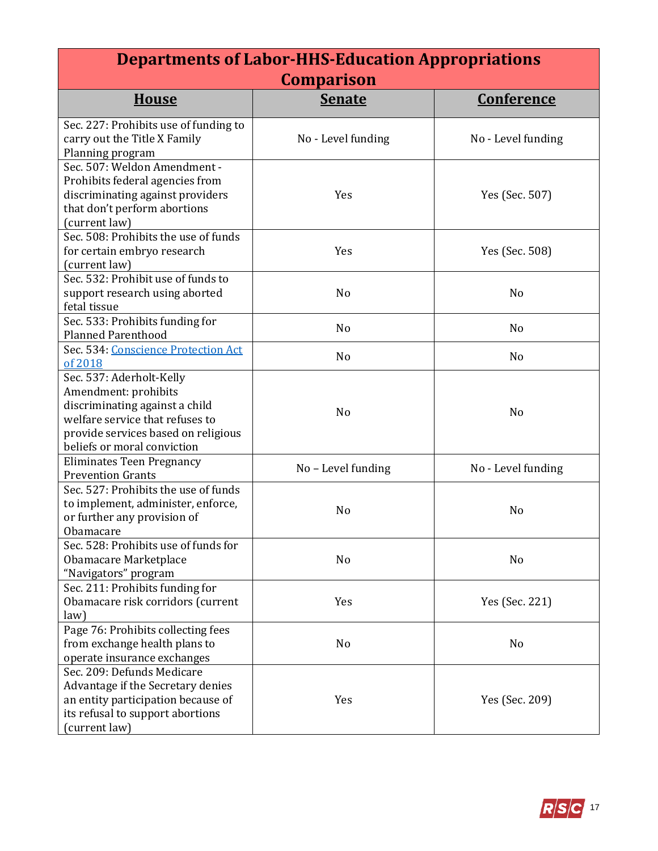| <b>Departments of Labor-HHS-Education Appropriations</b>                                                                                                                                    |                    |                    |  |  |  |
|---------------------------------------------------------------------------------------------------------------------------------------------------------------------------------------------|--------------------|--------------------|--|--|--|
| <b>Comparison</b>                                                                                                                                                                           |                    |                    |  |  |  |
| <b>House</b>                                                                                                                                                                                | <b>Senate</b>      | <b>Conference</b>  |  |  |  |
| Sec. 227: Prohibits use of funding to<br>carry out the Title X Family<br>Planning program                                                                                                   | No - Level funding | No - Level funding |  |  |  |
| Sec. 507: Weldon Amendment -<br>Prohibits federal agencies from<br>discriminating against providers<br>that don't perform abortions<br>(current law)                                        | Yes                | Yes (Sec. 507)     |  |  |  |
| Sec. 508: Prohibits the use of funds<br>for certain embryo research<br>(current law)                                                                                                        | Yes                | Yes (Sec. 508)     |  |  |  |
| Sec. 532: Prohibit use of funds to<br>support research using aborted<br>fetal tissue                                                                                                        | No                 | N <sub>0</sub>     |  |  |  |
| Sec. 533: Prohibits funding for<br><b>Planned Parenthood</b>                                                                                                                                | No                 | No                 |  |  |  |
| Sec. 534: Conscience Protection Act<br>of 2018                                                                                                                                              | No                 | N <sub>0</sub>     |  |  |  |
| Sec. 537: Aderholt-Kelly<br>Amendment: prohibits<br>discriminating against a child<br>welfare service that refuses to<br>provide services based on religious<br>beliefs or moral conviction | No                 | N <sub>o</sub>     |  |  |  |
| <b>Eliminates Teen Pregnancy</b><br><b>Prevention Grants</b>                                                                                                                                | No - Level funding | No - Level funding |  |  |  |
| Sec. 527: Prohibits the use of funds<br>to implement, administer, enforce,<br>or further any provision of<br>Obamacare                                                                      | N <sub>0</sub>     | N <sub>0</sub>     |  |  |  |
| Sec. 528: Prohibits use of funds for<br>Obamacare Marketplace<br>"Navigators" program                                                                                                       | No                 | No                 |  |  |  |
| Sec. 211: Prohibits funding for<br>Obamacare risk corridors (current<br>law)                                                                                                                | Yes                | Yes (Sec. 221)     |  |  |  |
| Page 76: Prohibits collecting fees<br>from exchange health plans to<br>operate insurance exchanges                                                                                          | No                 | N <sub>0</sub>     |  |  |  |
| Sec. 209: Defunds Medicare<br>Advantage if the Secretary denies<br>an entity participation because of<br>its refusal to support abortions<br>(current law)                                  | Yes                | Yes (Sec. 209)     |  |  |  |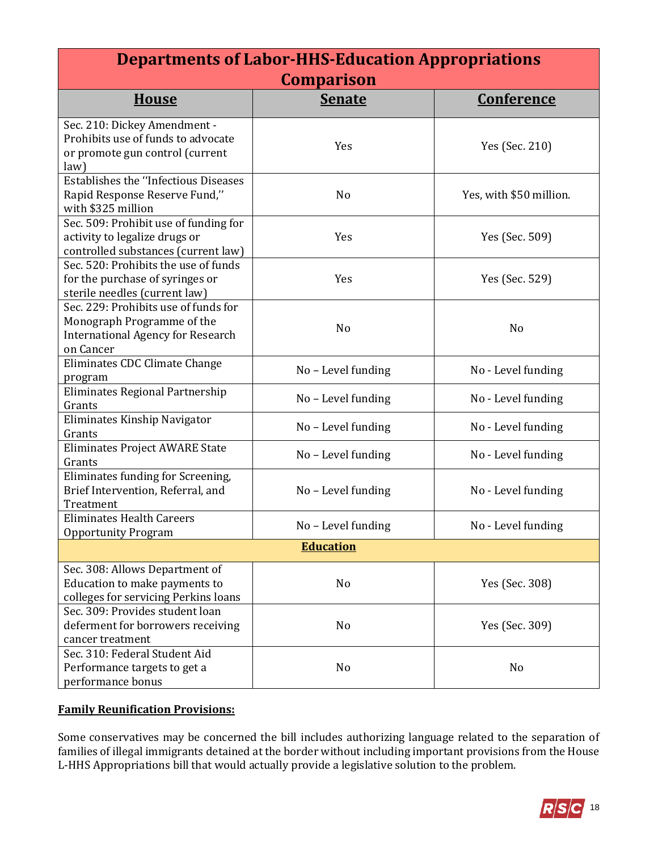| <b>Departments of Labor-HHS-Education Appropriations</b>                                                                    |                    |                         |  |  |  |
|-----------------------------------------------------------------------------------------------------------------------------|--------------------|-------------------------|--|--|--|
| <b>Comparison</b>                                                                                                           |                    |                         |  |  |  |
| <b>House</b>                                                                                                                | <b>Senate</b>      | <u>Conference</u>       |  |  |  |
| Sec. 210: Dickey Amendment -<br>Prohibits use of funds to advocate<br>or promote gun control (current<br>law)               | Yes                | Yes (Sec. 210)          |  |  |  |
| <b>Establishes the "Infectious Diseases</b><br>Rapid Response Reserve Fund,"<br>with \$325 million                          | No                 | Yes, with \$50 million. |  |  |  |
| Sec. 509: Prohibit use of funding for<br>activity to legalize drugs or<br>controlled substances (current law)               | Yes                | Yes (Sec. 509)          |  |  |  |
| Sec. 520: Prohibits the use of funds<br>for the purchase of syringes or<br>sterile needles (current law)                    | Yes                | Yes (Sec. 529)          |  |  |  |
| Sec. 229: Prohibits use of funds for<br>Monograph Programme of the<br><b>International Agency for Research</b><br>on Cancer | N <sub>o</sub>     | N <sub>o</sub>          |  |  |  |
| Eliminates CDC Climate Change<br>program                                                                                    | No - Level funding | No - Level funding      |  |  |  |
| Eliminates Regional Partnership<br>Grants                                                                                   | No - Level funding | No - Level funding      |  |  |  |
| Eliminates Kinship Navigator<br>Grants                                                                                      | No - Level funding | No - Level funding      |  |  |  |
| Eliminates Project AWARE State<br>Grants                                                                                    | No - Level funding | No - Level funding      |  |  |  |
| Eliminates funding for Screening,<br>Brief Intervention, Referral, and<br>Treatment                                         | No - Level funding | No - Level funding      |  |  |  |
| <b>Eliminates Health Careers</b><br><b>Opportunity Program</b>                                                              | No - Level funding | No - Level funding      |  |  |  |
| <b>Education</b>                                                                                                            |                    |                         |  |  |  |
| Sec. 308: Allows Department of<br>Education to make payments to<br>colleges for servicing Perkins loans                     | No                 | Yes (Sec. 308)          |  |  |  |
| Sec. 309: Provides student loan<br>deferment for borrowers receiving<br>cancer treatment                                    | No                 | Yes (Sec. 309)          |  |  |  |
| Sec. 310: Federal Student Aid<br>Performance targets to get a<br>performance bonus                                          | No                 | No                      |  |  |  |

## **Family Reunification Provisions:**

Some conservatives may be concerned the bill includes authorizing language related to the separation of families of illegal immigrants detained at the border without including important provisions from the House L-HHS Appropriations bill that would actually provide a legislative solution to the problem.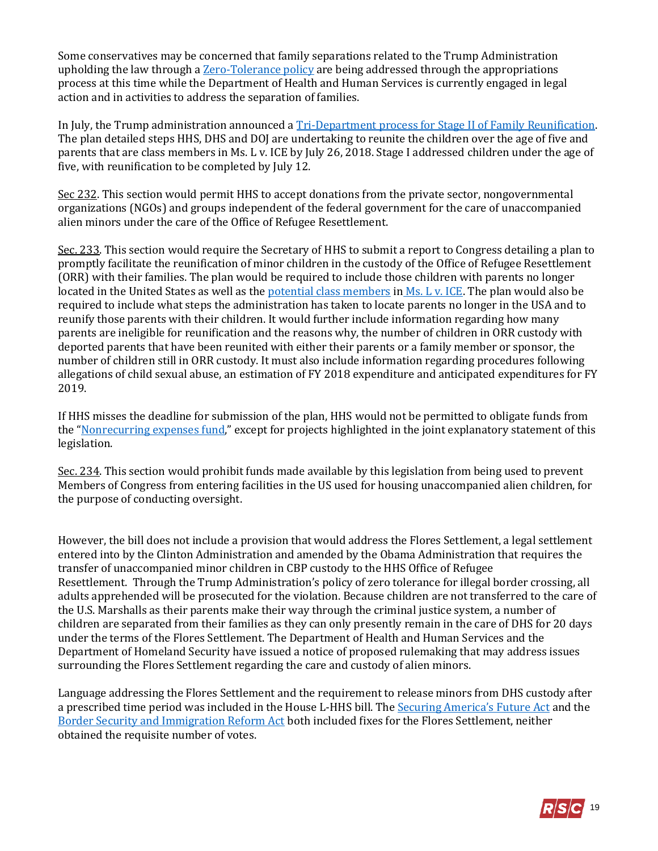Some conservatives may be concerned that family separations related to the Trump Administration upholding the law through a **Zero-Tolerance policy** are being addressed through the appropriations process at this time while the Department of Health and Human Services is currently engaged in legal action and in activities to address the separation of families.

In July, the Trump administration announced a [Tri-Department process for Stage II of Family Reunification.](https://www.hhs.gov/sites/default/files/UAC-Tri-Department-Process.pdf) The plan detailed steps HHS, DHS and DOJ are undertaking to reunite the children over the age of five and parents that are class members in Ms. L v. ICE by July 26, 2018. Stage I addressed children under the age of five, with reunification to be completed by July 12.

Sec 232. This section would permit HHS to accept donations from the private sector, nongovernmental organizations (NGOs) and groups independent of the federal government for the care of unaccompanied alien minors under the care of the Office of Refugee Resettlement.

Sec. 233. This section would require the Secretary of HHS to submit a report to Congress detailing a plan to promptly facilitate the reunification of minor children in the custody of the Office of Refugee Resettlement (ORR) with their families. The plan would be required to include those children with parents no longer located in the United States as well as th[e potential class members](http://www.latimes.com/local/lanow/la-me-judge-immigration-20180626-story.html) in [Ms. L v. ICE.](http://www.abajournal.com/news/article/court_filing_says_trump_administration_gives_families_only_one_choice) The plan would also be required to include what steps the administration has taken to locate parents no longer in the USA and to reunify those parents with their children. It would further include information regarding how many parents are ineligible for reunification and the reasons why, the number of children in ORR custody with deported parents that have been reunited with either their parents or a family member or sponsor, the number of children still in ORR custody. It must also include information regarding procedures following allegations of child sexual abuse, an estimation of FY 2018 expenditure and anticipated expenditures for FY 2019.

If HHS misses the deadline for submission of the plan, HHS would not be permitted to obligate funds from the "[Nonrecurring expenses fund](https://www.gpo.gov/fdsys/pkg/PLAW-110publ161/pdf/PLAW-110publ161.pdf#page=346)," except for projects highlighted in the joint explanatory statement of this legislation.

Sec. 234. This section would prohibit funds made available by this legislation from being used to prevent Members of Congress from entering facilities in the US used for housing unaccompanied alien children, for the purpose of conducting oversight.

However, the bill does not include a provision that would address the Flores Settlement, a legal settlement entered into by the Clinton Administration and amended by the Obama Administration that requires the transfer of unaccompanied minor children in CBP custody to the HHS Office of Refugee Resettlement. Through the Trump Administration's policy of zero tolerance for illegal border crossing, all adults apprehended will be prosecuted for the violation. Because children are not transferred to the care of the U.S. Marshalls as their parents make their way through the criminal justice system, a number of children are separated from their families as they can only presently remain in the care of DHS for 20 days under the terms of the Flores Settlement. The Department of Health and Human Services and the Department of Homeland Security have issued a notice of proposed rulemaking that may address issues surrounding the Flores Settlement regarding the care and custody of alien minors.

Language addressing the Flores Settlement and the requirement to release minors from DHS custody after a prescribed time period was included in the House L-HHS bill. The [Securing America's Future Act](https://rsc-walker.house.gov/sites/republicanstudycommittee.house.gov/files/wysiwyg_uploaded/RSC_Legislative_Bulletin_H.R._4760_Securing_America_s_Future_Act_June_20_2018.pdf) and the [Border Security and Immigration Reform Act](https://rsc-walker.house.gov/sites/republicanstudycommittee.house.gov/files/wysiwyg_uploaded/RSC_Legislative_Bulletin_HR_6136_Border_Security_and_Immigration_Reform_Act_June_20_2018.pdf) both included fixes for the Flores Settlement, neither obtained the requisite number of votes.

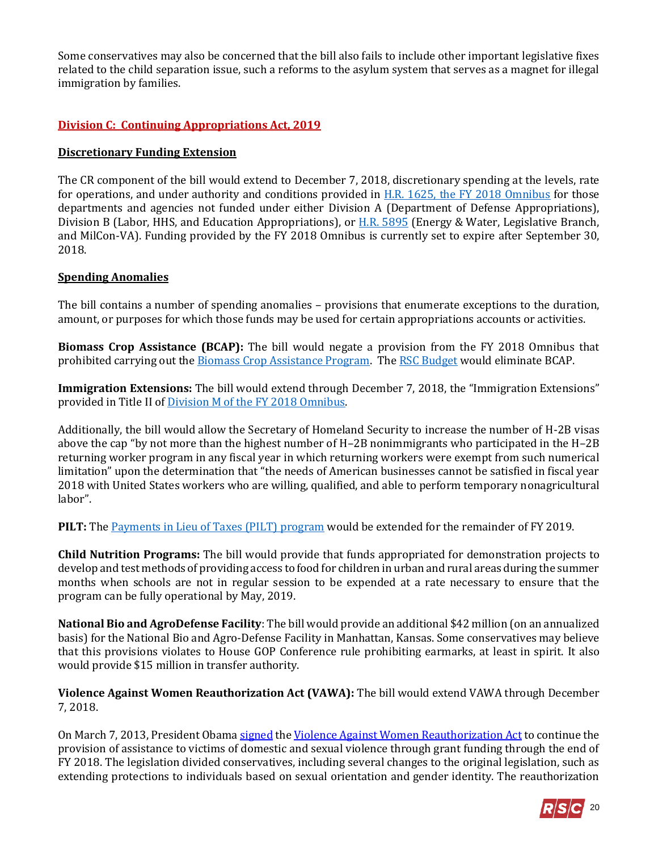Some conservatives may also be concerned that the bill also fails to include other important legislative fixes related to the child separation issue, such a reforms to the asylum system that serves as a magnet for illegal immigration by families.

## **Division C: Continuing Appropriations Act, 2019**

#### **Discretionary Funding Extension**

The CR component of the bill would extend to December 7, 2018, discretionary spending at the levels, rate for operations, and under authority and conditions provided in [H.R. 1625, the FY 2018 Omnibus](https://gallery.mailchimp.com/d4254037a343b683d142111e0/files/76c0375e-2eb8-4d0b-bf88-5f0b5d018eae/RSC_Legislative_Bulletin_FY_2018_Omnibus_UPDATED_FINAL.pdf) for those departments and agencies not funded under either Division A (Department of Defense Appropriations), Division B (Labor, HHS, and Education Appropriations), or [H.R. 5895](https://gallery.mailchimp.com/d4254037a343b683d142111e0/files/62ee4526-43bf-4352-8a26-e708427e8d61/LB_Minibus_EW_Leg_MilCon_FY19_Conference_Report_FINAL.pdf) (Energy & Water, Legislative Branch, and MilCon-VA). Funding provided by the FY 2018 Omnibus is currently set to expire after September 30, 2018.

#### **Spending Anomalies**

The bill contains a number of spending anomalies – provisions that enumerate exceptions to the duration, amount, or purposes for which those funds may be used for certain appropriations accounts or activities.

**Biomass Crop Assistance (BCAP):** The bill would negate a provision from the FY 2018 Omnibus that prohibited carrying out the **Biomass Crop Assistance Program.** Th[e RSC Budget](https://rsc-walker.house.gov/sites/republicanstudycommittee.house.gov/files/wysiwyg_uploaded/RSC%20Budget%20FY2019%20-%20Narrative%20-%20FINAL.PDF#page=89) would eliminate BCAP.

**Immigration Extensions:** The bill would extend through December 7, 2018, the "Immigration Extensions" provided in Title II of [Division M of the FY 2018 Omnibus.](https://www.congress.gov/115/bills/hr1625/BILLS-115hr1625enr.pdf#page702) 

Additionally, the bill would allow the Secretary of Homeland Security to increase the number of H-2B visas above the cap "by not more than the highest number of H–2B nonimmigrants who participated in the H–2B returning worker program in any fiscal year in which returning workers were exempt from such numerical limitation" upon the determination that "the needs of American businesses cannot be satisfied in fiscal year 2018 with United States workers who are willing, qualified, and able to perform temporary nonagricultural labor".

**PILT:** Th[e Payments in Lieu of Taxes \(PILT\) program](https://www.doi.gov/pilt) would be extended for the remainder of FY 2019.

**Child Nutrition Programs:** The bill would provide that funds appropriated for demonstration projects to develop and test methods of providing access to food for children in urban and rural areas during the summer months when schools are not in regular session to be expended at a rate necessary to ensure that the program can be fully operational by May, 2019.

**National Bio and AgroDefense Facility**: The bill would provide an additional \$42 million (on an annualized basis) for the National Bio and Agro-Defense Facility in Manhattan, Kansas. Some conservatives may believe that this provisions violates to House GOP Conference rule prohibiting earmarks, at least in spirit. It also would provide \$15 million in transfer authority.

**Violence Against Women Reauthorization Act (VAWA):** The bill would extend VAWA through December 7, 2018.

On March 7, 2013, President Obam[a signed](https://www.justice.gov/tribal/violence-against-women-act-vawa-reauthorization-2013-0) th[e Violence Against Women Reauthorization Act](http://rsc.walker.house.gov/files/2013LB/LBS_47_VAWAReauthorization_02272013.pdf) to continue the provision of assistance to victims of domestic and sexual violence through grant funding through the end of FY 2018. The legislation divided conservatives, including several changes to the original legislation, such as extending protections to individuals based on sexual orientation and gender identity. The reauthorization

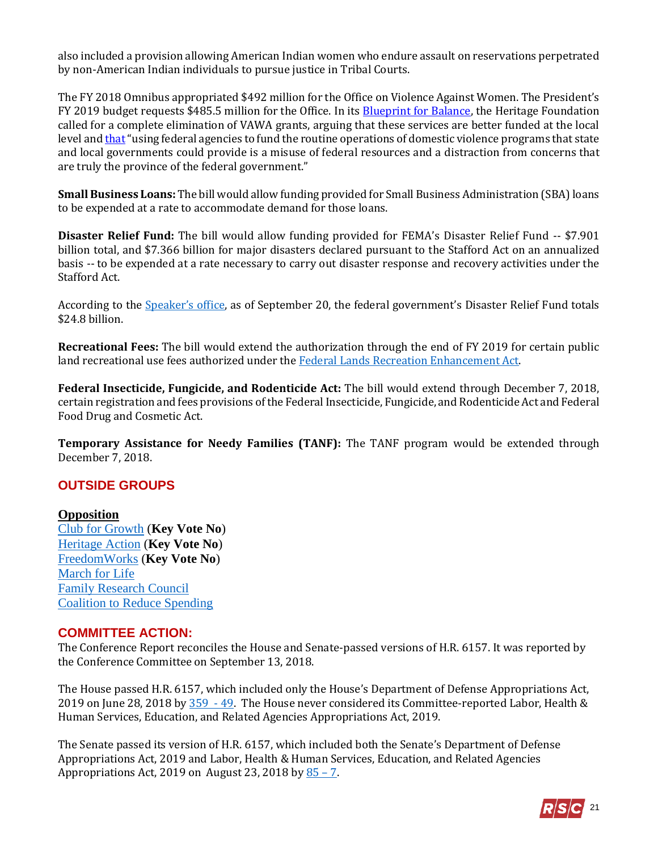also included a provision allowing American Indian women who endure assault on reservations perpetrated by non-American Indian individuals to pursue justice in Tribal Courts.

The FY 2018 Omnibus appropriated \$492 million for the Office on Violence Against Women. The President's FY 2019 budget requests \$485.5 million for the Office. In its [Blueprint for Balance,](http://www.heritage.org/budget-and-spending/report/blueprint-balance-federal-budget-fiscal-year-2018) the Heritage Foundation called for a complete elimination of VAWA grants, arguing that these services are better funded at the local level and [that](http://budgetbook.heritage.org/administration-of-justice/eliminate-violence-women-act-grants/) "using federal agencies to fund the routine operations of domestic violence programs that state and local governments could provide is a misuse of federal resources and a distraction from concerns that are truly the province of the federal government."

**Small Business Loans:** The bill would allow funding provided for Small Business Administration (SBA) loans to be expended at a rate to accommodate demand for those loans.

**Disaster Relief Fund:** The bill would allow funding provided for FEMA's Disaster Relief Fund -- \$7.901 billion total, and \$7.366 billion for major disasters declared pursuant to the Stafford Act on an annualized basis -- to be expended at a rate necessary to carry out disaster response and recovery activities under the Stafford Act.

According to the [Speaker's office](https://www.speaker.gov/general/update-hurricane-florence-relief-first-action-next-week), as of September 20, the federal government's Disaster Relief Fund totals \$24.8 billion.

**Recreational Fees:** The bill would extend the authorization through the end of FY 2019 for certain public land recreational use fees authorized under the [Federal Lands Recreation Enhancement Act.](http://uscode.house.gov/view.xhtml?path=/prelim@title16/chapter87&edition=prelim)

**Federal Insecticide, Fungicide, and Rodenticide Act:** The bill would extend through December 7, 2018, certain registration and fees provisions of the Federal Insecticide, Fungicide, and Rodenticide Act and Federal Food Drug and Cosmetic Act.

**Temporary Assistance for Needy Families (TANF):** The TANF program would be extended through December 7, 2018.

## **OUTSIDE GROUPS**

#### **Opposition**

[Club for Growth](https://www.clubforgrowth.org/key-votes/key-vote-alert-no-on-fy19-defense-labor-hhs-cr-bill-hr-6157/) (**Key Vote No**) [Heritage Action](https://heritageaction.com/key-vote/key-vote-no-on-cromnibus-h-r-6157-house) (**Key Vote No**) [FreedomWorks](http://fw-d7-freedomworks-org.s3.amazonaws.com/KVN_9_18_2018_CR%252FMinibus_H.R._6157.pdf) (**Key Vote No**) [March for Life](http://marchforlifeaction.org/2018/09/13/appropriations-bill/) [Family Research Council](file://///us.house.gov/hcfs/rscrc/Alexa%20Walker/Coalition%20letters/Appropriations/FRC%20House%20Score%20Letter%20re%20LHHS%20DOD%20Conf%20Report%209.13.18.pdf) [Coalition to Reduce Spending](https://mailchi.mp/spendingwatchdogs/the-worst-idea-yet?e=2b5c8c5688)

## **COMMITTEE ACTION:**

The Conference Report reconciles the House and Senate-passed versions of H.R. 6157. It was reported by the Conference Committee on September 13, 2018.

The House passed H.R. 6157, which included only the House's Department of Defense Appropriations Act, 2019 on June 28, 2018 by [359 -](http://clerk.house.gov/evs/2018/roll313.xml) 49. The House never considered its Committee-reported Labor, Health & Human Services, Education, and Related Agencies Appropriations Act, 2019.

The Senate passed its version of H.R. 6157, which included both the Senate's Department of Defense Appropriations Act, 2019 and Labor, Health & Human Services, Education, and Related Agencies Appropriations Act, 2019 on August 23, 2018 by  $85 - 7$ .